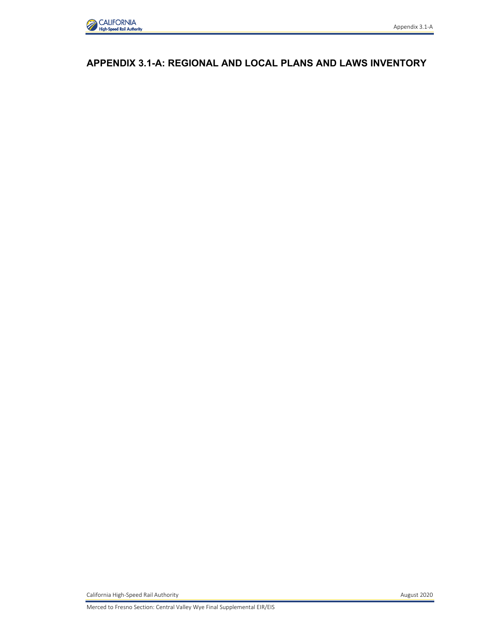

# **APPENDIX 3.1-A: REGIONAL AND LOCAL PLANS AND LAWS INVENTORY**

California High-Speed Rail Authority **August 2020**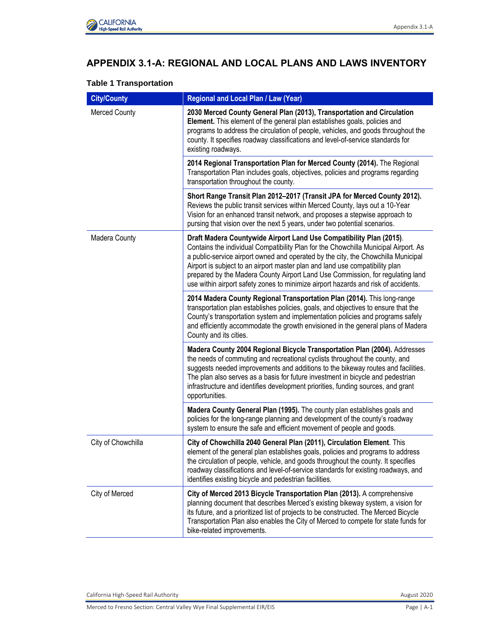

# **APPENDIX 3.1-A: REGIONAL AND LOCAL PLANS AND LAWS INVENTORY**

# **Table 1 Transportation**

| <b>City/County</b>   | Regional and Local Plan / Law (Year)                                                                                                                                                                                                                                                                                                                                                                                                                                                                    |
|----------------------|---------------------------------------------------------------------------------------------------------------------------------------------------------------------------------------------------------------------------------------------------------------------------------------------------------------------------------------------------------------------------------------------------------------------------------------------------------------------------------------------------------|
| <b>Merced County</b> | 2030 Merced County General Plan (2013), Transportation and Circulation<br>Element. This element of the general plan establishes goals, policies and<br>programs to address the circulation of people, vehicles, and goods throughout the<br>county. It specifies roadway classifications and level-of-service standards for<br>existing roadways.                                                                                                                                                       |
|                      | 2014 Regional Transportation Plan for Merced County (2014). The Regional<br>Transportation Plan includes goals, objectives, policies and programs regarding<br>transportation throughout the county.                                                                                                                                                                                                                                                                                                    |
|                      | Short Range Transit Plan 2012-2017 (Transit JPA for Merced County 2012).<br>Reviews the public transit services within Merced County, lays out a 10-Year<br>Vision for an enhanced transit network, and proposes a stepwise approach to<br>pursing that vision over the next 5 years, under two potential scenarios.                                                                                                                                                                                    |
| Madera County        | Draft Madera Countywide Airport Land Use Compatibility Plan (2015).<br>Contains the individual Compatibility Plan for the Chowchilla Municipal Airport. As<br>a public-service airport owned and operated by the city, the Chowchilla Municipal<br>Airport is subject to an airport master plan and land use compatibility plan<br>prepared by the Madera County Airport Land Use Commission, for regulating land<br>use within airport safety zones to minimize airport hazards and risk of accidents. |
|                      | 2014 Madera County Regional Transportation Plan (2014). This long-range<br>transportation plan establishes policies, goals, and objectives to ensure that the<br>County's transportation system and implementation policies and programs safely<br>and efficiently accommodate the growth envisioned in the general plans of Madera<br>County and its cities.                                                                                                                                           |
|                      | Madera County 2004 Regional Bicycle Transportation Plan (2004). Addresses<br>the needs of commuting and recreational cyclists throughout the county, and<br>suggests needed improvements and additions to the bikeway routes and facilities.<br>The plan also serves as a basis for future investment in bicycle and pedestrian<br>infrastructure and identifies development priorities, funding sources, and grant<br>opportunities.                                                                   |
|                      | Madera County General Plan (1995). The county plan establishes goals and<br>policies for the long-range planning and development of the county's roadway<br>system to ensure the safe and efficient movement of people and goods.                                                                                                                                                                                                                                                                       |
| City of Chowchilla   | City of Chowchilla 2040 General Plan (2011), Circulation Element. This<br>element of the general plan establishes goals, policies and programs to address<br>the circulation of people, vehicle, and goods throughout the county. It specifies<br>roadway classifications and level-of-service standards for existing roadways, and<br>identifies existing bicycle and pedestrian facilities.                                                                                                           |
| City of Merced       | City of Merced 2013 Bicycle Transportation Plan (2013). A comprehensive<br>planning document that describes Merced's existing bikeway system, a vision for<br>its future, and a prioritized list of projects to be constructed. The Merced Bicycle<br>Transportation Plan also enables the City of Merced to compete for state funds for<br>bike-related improvements.                                                                                                                                  |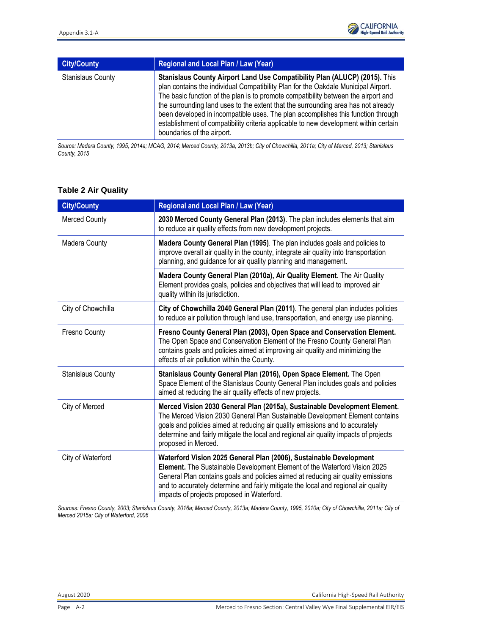| <b>City/County</b>       | <b>Regional and Local Plan / Law (Year)</b>                                                                                                                                                                                                                                                                                                                                                                                                                                                                                                           |
|--------------------------|-------------------------------------------------------------------------------------------------------------------------------------------------------------------------------------------------------------------------------------------------------------------------------------------------------------------------------------------------------------------------------------------------------------------------------------------------------------------------------------------------------------------------------------------------------|
| <b>Stanislaus County</b> | Stanislaus County Airport Land Use Compatibility Plan (ALUCP) (2015). This<br>plan contains the individual Compatibility Plan for the Oakdale Municipal Airport.<br>The basic function of the plan is to promote compatibility between the airport and<br>the surrounding land uses to the extent that the surrounding area has not already<br>been developed in incompatible uses. The plan accomplishes this function through<br>establishment of compatibility criteria applicable to new development within certain<br>boundaries of the airport. |

*Source: Madera County, 1995, 2014a; MCAG, 2014; Merced County, 2013a, 2013b; City of Chowchilla, 2011a; City of Merced, 2013; Stanislaus County, 2015*

| <b>City/County</b>       | Regional and Local Plan / Law (Year)                                                                                                                                                                                                                                                                                                                                    |
|--------------------------|-------------------------------------------------------------------------------------------------------------------------------------------------------------------------------------------------------------------------------------------------------------------------------------------------------------------------------------------------------------------------|
| <b>Merced County</b>     | 2030 Merced County General Plan (2013). The plan includes elements that aim<br>to reduce air quality effects from new development projects.                                                                                                                                                                                                                             |
| Madera County            | Madera County General Plan (1995). The plan includes goals and policies to<br>improve overall air quality in the county, integrate air quality into transportation<br>planning, and guidance for air quality planning and management.                                                                                                                                   |
|                          | Madera County General Plan (2010a), Air Quality Element. The Air Quality<br>Element provides goals, policies and objectives that will lead to improved air<br>quality within its jurisdiction.                                                                                                                                                                          |
| City of Chowchilla       | City of Chowchilla 2040 General Plan (2011). The general plan includes policies<br>to reduce air pollution through land use, transportation, and energy use planning.                                                                                                                                                                                                   |
| Fresno County            | Fresno County General Plan (2003), Open Space and Conservation Element.<br>The Open Space and Conservation Element of the Fresno County General Plan<br>contains goals and policies aimed at improving air quality and minimizing the<br>effects of air pollution within the County.                                                                                    |
| <b>Stanislaus County</b> | Stanislaus County General Plan (2016), Open Space Element. The Open<br>Space Element of the Stanislaus County General Plan includes goals and policies<br>aimed at reducing the air quality effects of new projects.                                                                                                                                                    |
| City of Merced           | Merced Vision 2030 General Plan (2015a), Sustainable Development Element.<br>The Merced Vision 2030 General Plan Sustainable Development Element contains<br>goals and policies aimed at reducing air quality emissions and to accurately<br>determine and fairly mitigate the local and regional air quality impacts of projects<br>proposed in Merced.                |
| City of Waterford        | Waterford Vision 2025 General Plan (2006), Sustainable Development<br>Element. The Sustainable Development Element of the Waterford Vision 2025<br>General Plan contains goals and policies aimed at reducing air quality emissions<br>and to accurately determine and fairly mitigate the local and regional air quality<br>impacts of projects proposed in Waterford. |

### **Table 2 Air Quality**

*Sources: Fresno County, 2003; Stanislaus County, 2016a; Merced County, 2013a; Madera County, 1995, 2010a; City of Chowchilla, 2011a; City of Merced 2015a; City of Waterford, 2006*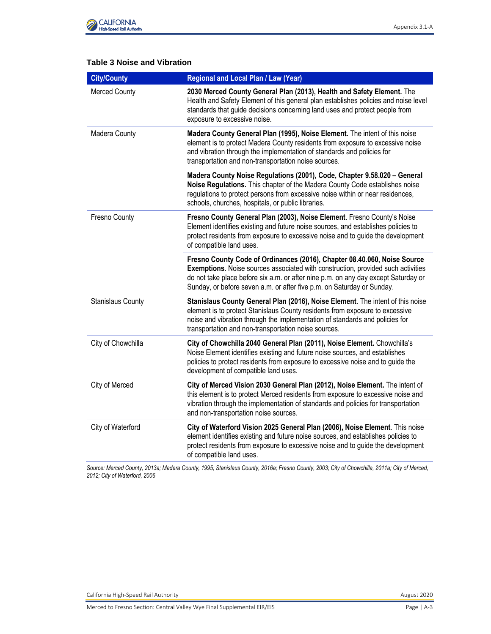

### **Table 3 Noise and Vibration**

| <b>City/County</b>       | Regional and Local Plan / Law (Year)                                                                                                                                                                                                                                                                                         |
|--------------------------|------------------------------------------------------------------------------------------------------------------------------------------------------------------------------------------------------------------------------------------------------------------------------------------------------------------------------|
| <b>Merced County</b>     | 2030 Merced County General Plan (2013), Health and Safety Element. The<br>Health and Safety Element of this general plan establishes policies and noise level<br>standards that guide decisions concerning land uses and protect people from<br>exposure to excessive noise.                                                 |
| Madera County            | Madera County General Plan (1995), Noise Element. The intent of this noise<br>element is to protect Madera County residents from exposure to excessive noise<br>and vibration through the implementation of standards and policies for<br>transportation and non-transportation noise sources.                               |
|                          | Madera County Noise Regulations (2001), Code, Chapter 9.58.020 - General<br>Noise Regulations. This chapter of the Madera County Code establishes noise<br>regulations to protect persons from excessive noise within or near residences,<br>schools, churches, hospitals, or public libraries.                              |
| Fresno County            | Fresno County General Plan (2003), Noise Element. Fresno County's Noise<br>Element identifies existing and future noise sources, and establishes policies to<br>protect residents from exposure to excessive noise and to guide the development<br>of compatible land uses.                                                  |
|                          | Fresno County Code of Ordinances (2016), Chapter 08.40.060, Noise Source<br>Exemptions. Noise sources associated with construction, provided such activities<br>do not take place before six a.m. or after nine p.m. on any day except Saturday or<br>Sunday, or before seven a.m. or after five p.m. on Saturday or Sunday. |
| <b>Stanislaus County</b> | Stanislaus County General Plan (2016), Noise Element. The intent of this noise<br>element is to protect Stanislaus County residents from exposure to excessive<br>noise and vibration through the implementation of standards and policies for<br>transportation and non-transportation noise sources.                       |
| City of Chowchilla       | City of Chowchilla 2040 General Plan (2011), Noise Element. Chowchilla's<br>Noise Element identifies existing and future noise sources, and establishes<br>policies to protect residents from exposure to excessive noise and to guide the<br>development of compatible land uses.                                           |
| City of Merced           | City of Merced Vision 2030 General Plan (2012), Noise Element. The intent of<br>this element is to protect Merced residents from exposure to excessive noise and<br>vibration through the implementation of standards and policies for transportation<br>and non-transportation noise sources.                               |
| City of Waterford        | City of Waterford Vision 2025 General Plan (2006), Noise Element. This noise<br>element identifies existing and future noise sources, and establishes policies to<br>protect residents from exposure to excessive noise and to guide the development<br>of compatible land uses.                                             |

*Source: Merced County, 2013a; Madera County, 1995; Stanislaus County, 2016a; Fresno County, 2003; City of Chowchilla, 2011a; City of Merced, 2012; City of Waterford, 2006*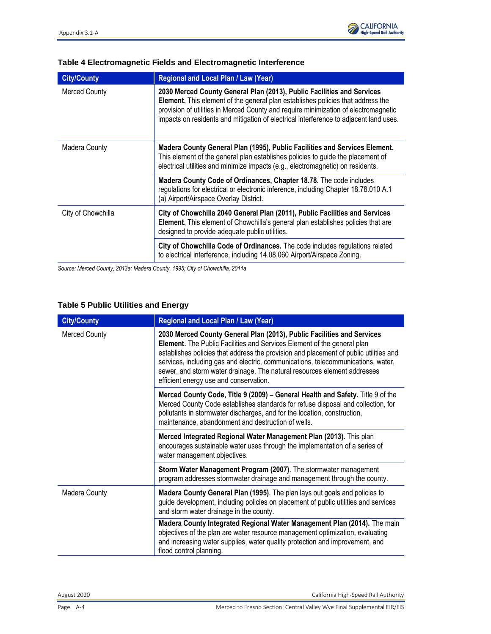| <b>City/County</b>   | <b>Regional and Local Plan / Law (Year)</b>                                                                                                                                                                                                                                                                                                      |
|----------------------|--------------------------------------------------------------------------------------------------------------------------------------------------------------------------------------------------------------------------------------------------------------------------------------------------------------------------------------------------|
| <b>Merced County</b> | 2030 Merced County General Plan (2013), Public Facilities and Services<br><b>Element.</b> This element of the general plan establishes policies that address the<br>provision of utilities in Merced County and require minimization of electromagnetic<br>impacts on residents and mitigation of electrical interference to adjacent land uses. |
| Madera County        | Madera County General Plan (1995), Public Facilities and Services Element.<br>This element of the general plan establishes policies to guide the placement of<br>electrical utilities and minimize impacts (e.g., electromagnetic) on residents.                                                                                                 |
|                      | Madera County Code of Ordinances, Chapter 18.78. The code includes<br>regulations for electrical or electronic inference, including Chapter 18.78.010 A.1<br>(a) Airport/Airspace Overlay District.                                                                                                                                              |
| City of Chowchilla   | City of Chowchilla 2040 General Plan (2011), Public Facilities and Services<br>Element. This element of Chowchilla's general plan establishes policies that are<br>designed to provide adequate public utilities.                                                                                                                                |
|                      | City of Chowchilla Code of Ordinances. The code includes regulations related<br>to electrical interference, including 14.08.060 Airport/Airspace Zoning.                                                                                                                                                                                         |

#### **Table 4 Electromagnetic Fields and Electromagnetic Interference**

*Source: Merced County, 2013a; Madera County, 1995; City of Chowchilla, 2011a*

#### **Table 5 Public Utilities and Energy**

| <b>City/County</b>   | Regional and Local Plan / Law (Year)                                                                                                                                                                                                                                                                                                                                                                                                                 |
|----------------------|------------------------------------------------------------------------------------------------------------------------------------------------------------------------------------------------------------------------------------------------------------------------------------------------------------------------------------------------------------------------------------------------------------------------------------------------------|
| <b>Merced County</b> | 2030 Merced County General Plan (2013), Public Facilities and Services<br>Element. The Public Facilities and Services Element of the general plan<br>establishes policies that address the provision and placement of public utilities and<br>services, including gas and electric, communications, telecommunications, water,<br>sewer, and storm water drainage. The natural resources element addresses<br>efficient energy use and conservation. |
|                      | Merced County Code, Title 9 (2009) - General Health and Safety. Title 9 of the<br>Merced County Code establishes standards for refuse disposal and collection, for<br>pollutants in stormwater discharges, and for the location, construction,<br>maintenance, abandonment and destruction of wells.                                                                                                                                                 |
|                      | Merced Integrated Regional Water Management Plan (2013). This plan<br>encourages sustainable water uses through the implementation of a series of<br>water management objectives.                                                                                                                                                                                                                                                                    |
|                      | Storm Water Management Program (2007). The stormwater management<br>program addresses stormwater drainage and management through the county.                                                                                                                                                                                                                                                                                                         |
| Madera County        | Madera County General Plan (1995). The plan lays out goals and policies to<br>guide development, including policies on placement of public utilities and services<br>and storm water drainage in the county.                                                                                                                                                                                                                                         |
|                      | Madera County Integrated Regional Water Management Plan (2014). The main<br>objectives of the plan are water resource management optimization, evaluating<br>and increasing water supplies, water quality protection and improvement, and<br>flood control planning.                                                                                                                                                                                 |

August 2020 California High-Speed Rail Authority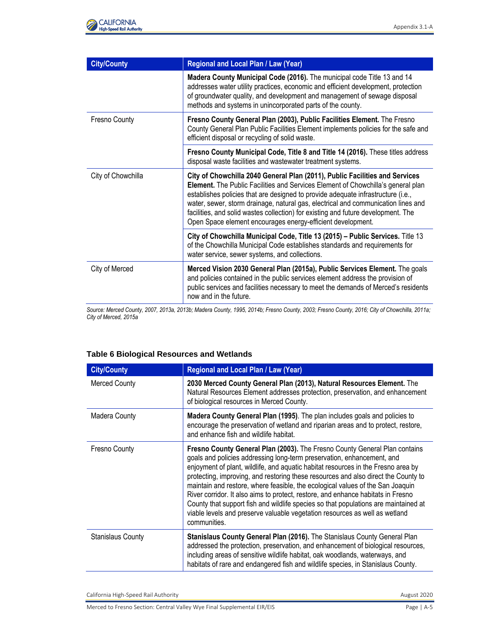

| <b>City/County</b> | <b>Regional and Local Plan / Law (Year)</b>                                                                                                                                                                                                                                                                                                                                                                                                                                                  |
|--------------------|----------------------------------------------------------------------------------------------------------------------------------------------------------------------------------------------------------------------------------------------------------------------------------------------------------------------------------------------------------------------------------------------------------------------------------------------------------------------------------------------|
|                    | Madera County Municipal Code (2016). The municipal code Title 13 and 14<br>addresses water utility practices, economic and efficient development, protection<br>of groundwater quality, and development and management of sewage disposal<br>methods and systems in unincorporated parts of the county.                                                                                                                                                                                      |
| Fresno County      | Fresno County General Plan (2003), Public Facilities Element. The Fresno<br>County General Plan Public Facilities Element implements policies for the safe and<br>efficient disposal or recycling of solid waste.                                                                                                                                                                                                                                                                            |
|                    | Fresno County Municipal Code, Title 8 and Title 14 (2016). These titles address<br>disposal waste facilities and wastewater treatment systems.                                                                                                                                                                                                                                                                                                                                               |
| City of Chowchilla | City of Chowchilla 2040 General Plan (2011), Public Facilities and Services<br>Element. The Public Facilities and Services Element of Chowchilla's general plan<br>establishes policies that are designed to provide adequate infrastructure (i.e.,<br>water, sewer, storm drainage, natural gas, electrical and communication lines and<br>facilities, and solid wastes collection) for existing and future development. The<br>Open Space element encourages energy-efficient development. |
|                    | City of Chowchilla Municipal Code, Title 13 (2015) - Public Services. Title 13<br>of the Chowchilla Municipal Code establishes standards and requirements for<br>water service, sewer systems, and collections.                                                                                                                                                                                                                                                                              |
| City of Merced     | Merced Vision 2030 General Plan (2015a), Public Services Element. The goals<br>and policies contained in the public services element address the provision of<br>public services and facilities necessary to meet the demands of Merced's residents<br>now and in the future.                                                                                                                                                                                                                |

*Source: Merced County, 2007, 2013a, 2013b; Madera County, 1995, 2014b; Fresno County, 2003; Fresno County, 2016; City of Chowchilla, 2011a; City of Merced, 2015a*

| <b>Table 6 Biological Resources and Wetlands</b> |
|--------------------------------------------------|
|--------------------------------------------------|

| <b>City/County</b>       | Regional and Local Plan / Law (Year)                                                                                                                                                                                                                                                                                                                                                                                                                                                                                                                                                                                                                                                        |
|--------------------------|---------------------------------------------------------------------------------------------------------------------------------------------------------------------------------------------------------------------------------------------------------------------------------------------------------------------------------------------------------------------------------------------------------------------------------------------------------------------------------------------------------------------------------------------------------------------------------------------------------------------------------------------------------------------------------------------|
| <b>Merced County</b>     | 2030 Merced County General Plan (2013), Natural Resources Element. The<br>Natural Resources Element addresses protection, preservation, and enhancement<br>of biological resources in Merced County.                                                                                                                                                                                                                                                                                                                                                                                                                                                                                        |
| Madera County            | Madera County General Plan (1995). The plan includes goals and policies to<br>encourage the preservation of wetland and riparian areas and to protect, restore,<br>and enhance fish and wildlife habitat.                                                                                                                                                                                                                                                                                                                                                                                                                                                                                   |
| Fresno County            | Fresno County General Plan (2003). The Fresno County General Plan contains<br>goals and policies addressing long-term preservation, enhancement, and<br>enjoyment of plant, wildlife, and aquatic habitat resources in the Fresno area by<br>protecting, improving, and restoring these resources and also direct the County to<br>maintain and restore, where feasible, the ecological values of the San Joaquin<br>River corridor. It also aims to protect, restore, and enhance habitats in Fresno<br>County that support fish and wildlife species so that populations are maintained at<br>viable levels and preserve valuable vegetation resources as well as wetland<br>communities. |
| <b>Stanislaus County</b> | Stanislaus County General Plan (2016). The Stanislaus County General Plan<br>addressed the protection, preservation, and enhancement of biological resources,<br>including areas of sensitive wildlife habitat, oak woodlands, waterways, and<br>habitats of rare and endangered fish and wildlife species, in Stanislaus County.                                                                                                                                                                                                                                                                                                                                                           |

California High-Speed Rail Authority **August 2020 August 2020** 

Merced to Fresno Section: Central Valley Wye Final Supplemental EIR/EIS Page | A-5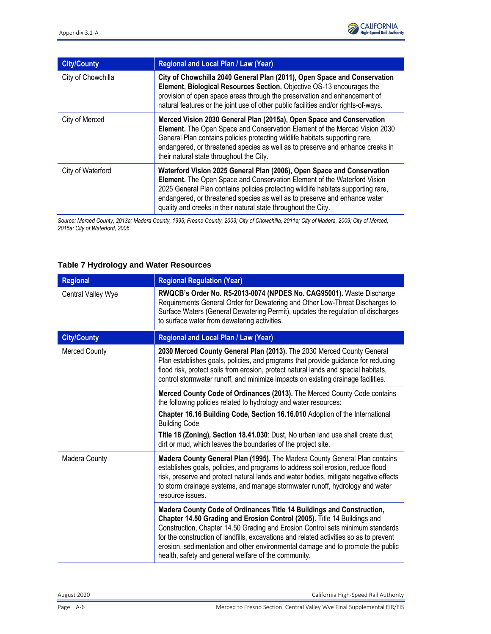| <b>City/County</b> | Regional and Local Plan / Law (Year)                                                                                                                                                                                                                                                                                                                                                    |
|--------------------|-----------------------------------------------------------------------------------------------------------------------------------------------------------------------------------------------------------------------------------------------------------------------------------------------------------------------------------------------------------------------------------------|
| City of Chowchilla | City of Chowchilla 2040 General Plan (2011), Open Space and Conservation<br>Element, Biological Resources Section. Objective OS-13 encourages the<br>provision of open space areas through the preservation and enhancement of<br>natural features or the joint use of other public facilities and/or rights-of-ways.                                                                   |
| City of Merced     | Merced Vision 2030 General Plan (2015a), Open Space and Conservation<br>Element. The Open Space and Conservation Element of the Merced Vision 2030<br>General Plan contains policies protecting wildlife habitats supporting rare,<br>endangered, or threatened species as well as to preserve and enhance creeks in<br>their natural state throughout the City.                        |
| City of Waterford  | Waterford Vision 2025 General Plan (2006), Open Space and Conservation<br>Element. The Open Space and Conservation Element of the Waterford Vision<br>2025 General Plan contains policies protecting wildlife habitats supporting rare,<br>endangered, or threatened species as well as to preserve and enhance water<br>quality and creeks in their natural state throughout the City. |

*Source: Merced County, 2013a; Madera County, 1995; Fresno County, 2003; City of Chowchilla, 2011a; City of Madera, 2009; City of Merced, 2015a; City of Waterford, 2006.*

#### **Table 7 Hydrology and Water Resources**

| <b>Regional</b>      | <b>Regional Regulation (Year)</b>                                                                                                                                                                                                                                                                                                                                                                                                                                        |
|----------------------|--------------------------------------------------------------------------------------------------------------------------------------------------------------------------------------------------------------------------------------------------------------------------------------------------------------------------------------------------------------------------------------------------------------------------------------------------------------------------|
| Central Valley Wye   | RWQCB's Order No. R5-2013-0074 (NPDES No. CAG95001). Waste Discharge<br>Requirements General Order for Dewatering and Other Low-Threat Discharges to<br>Surface Waters (General Dewatering Permit), updates the regulation of discharges<br>to surface water from dewatering activities.                                                                                                                                                                                 |
| <b>City/County</b>   | Regional and Local Plan / Law (Year)                                                                                                                                                                                                                                                                                                                                                                                                                                     |
| <b>Merced County</b> | 2030 Merced County General Plan (2013). The 2030 Merced County General<br>Plan establishes goals, policies, and programs that provide guidance for reducing<br>flood risk, protect soils from erosion, protect natural lands and special habitats,<br>control stormwater runoff, and minimize impacts on existing drainage facilities.                                                                                                                                   |
|                      | Merced County Code of Ordinances (2013). The Merced County Code contains<br>the following policies related to hydrology and water resources:                                                                                                                                                                                                                                                                                                                             |
|                      | Chapter 16.16 Building Code, Section 16.16.010 Adoption of the International<br><b>Building Code</b>                                                                                                                                                                                                                                                                                                                                                                     |
|                      | Title 18 (Zoning), Section 18.41.030: Dust, No urban land use shall create dust,<br>dirt or mud, which leaves the boundaries of the project site.                                                                                                                                                                                                                                                                                                                        |
| Madera County        | Madera County General Plan (1995). The Madera County General Plan contains<br>establishes goals, policies, and programs to address soil erosion, reduce flood<br>risk, preserve and protect natural lands and water bodies, mitigate negative effects<br>to storm drainage systems, and manage stormwater runoff, hydrology and water<br>resource issues.                                                                                                                |
|                      | Madera County Code of Ordinances Title 14 Buildings and Construction,<br>Chapter 14.50 Grading and Erosion Control (2005). Title 14 Buildings and<br>Construction, Chapter 14.50 Grading and Erosion Control sets minimum standards<br>for the construction of landfills, excavations and related activities so as to prevent<br>erosion, sedimentation and other environmental damage and to promote the public<br>health, safety and general welfare of the community. |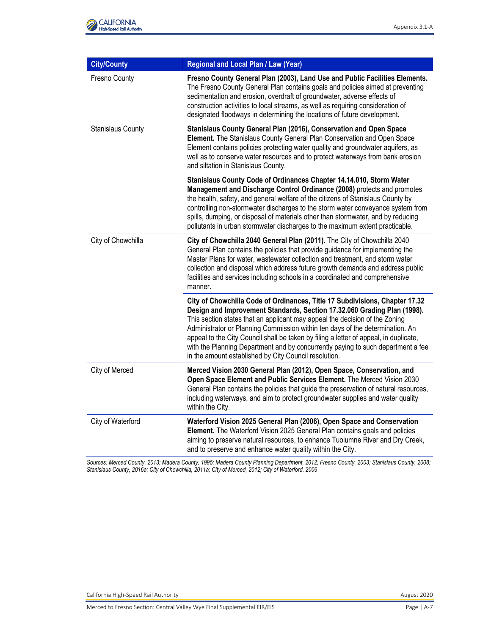

| <b>City/County</b>       | Regional and Local Plan / Law (Year)                                                                                                                                                                                                                                                                                                                                                                                                                                                                                                                          |
|--------------------------|---------------------------------------------------------------------------------------------------------------------------------------------------------------------------------------------------------------------------------------------------------------------------------------------------------------------------------------------------------------------------------------------------------------------------------------------------------------------------------------------------------------------------------------------------------------|
| Fresno County            | Fresno County General Plan (2003), Land Use and Public Facilities Elements.<br>The Fresno County General Plan contains goals and policies aimed at preventing<br>sedimentation and erosion, overdraft of groundwater, adverse effects of<br>construction activities to local streams, as well as requiring consideration of<br>designated floodways in determining the locations of future development.                                                                                                                                                       |
| <b>Stanislaus County</b> | Stanislaus County General Plan (2016), Conservation and Open Space<br>Element. The Stanislaus County General Plan Conservation and Open Space<br>Element contains policies protecting water quality and groundwater aquifers, as<br>well as to conserve water resources and to protect waterways from bank erosion<br>and siltation in Stanislaus County.                                                                                                                                                                                                     |
|                          | Stanislaus County Code of Ordinances Chapter 14.14.010, Storm Water<br>Management and Discharge Control Ordinance (2008) protects and promotes<br>the health, safety, and general welfare of the citizens of Stanislaus County by<br>controlling non-stormwater discharges to the storm water conveyance system from<br>spills, dumping, or disposal of materials other than stormwater, and by reducing<br>pollutants in urban stormwater discharges to the maximum extent practicable.                                                                      |
| City of Chowchilla       | City of Chowchilla 2040 General Plan (2011). The City of Chowchilla 2040<br>General Plan contains the policies that provide guidance for implementing the<br>Master Plans for water, wastewater collection and treatment, and storm water<br>collection and disposal which address future growth demands and address public<br>facilities and services including schools in a coordinated and comprehensive<br>manner.                                                                                                                                        |
|                          | City of Chowchilla Code of Ordinances, Title 17 Subdivisions, Chapter 17.32<br>Design and Improvement Standards, Section 17.32.060 Grading Plan (1998).<br>This section states that an applicant may appeal the decision of the Zoning<br>Administrator or Planning Commission within ten days of the determination. An<br>appeal to the City Council shall be taken by filing a letter of appeal, in duplicate,<br>with the Planning Department and by concurrently paying to such department a fee<br>in the amount established by City Council resolution. |
| City of Merced           | Merced Vision 2030 General Plan (2012), Open Space, Conservation, and<br>Open Space Element and Public Services Element. The Merced Vision 2030<br>General Plan contains the policies that guide the preservation of natural resources,<br>including waterways, and aim to protect groundwater supplies and water quality<br>within the City.                                                                                                                                                                                                                 |
| City of Waterford        | Waterford Vision 2025 General Plan (2006), Open Space and Conservation<br>Element. The Waterford Vision 2025 General Plan contains goals and policies<br>aiming to preserve natural resources, to enhance Tuolumne River and Dry Creek,<br>and to preserve and enhance water quality within the City.                                                                                                                                                                                                                                                         |

*Sources: Merced County, 2013; Madera County, 1995; Madera County Planning Department, 2012; Fresno County, 2003; Stanislaus County, 2008; Stanislaus County, 2016a; City of Chowchilla, 2011a; City of Merced, 2012; City of Waterford, 2006*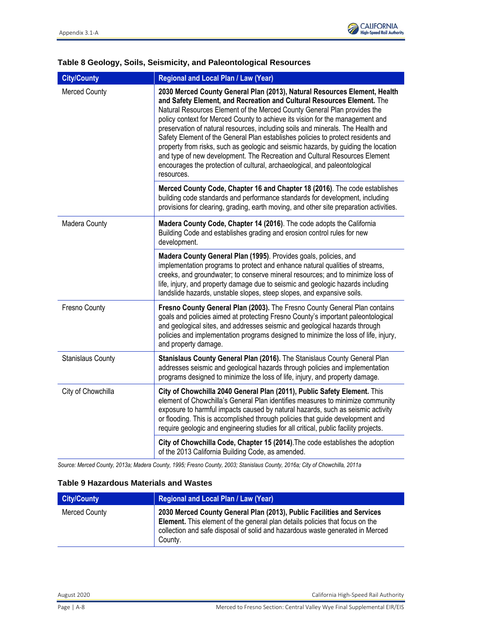

## **Table 8 Geology, Soils, Seismicity, and Paleontological Resources**

| <b>City/County</b>       | Regional and Local Plan / Law (Year)                                                                                                                                                                                                                                                                                                                                                                                                                                                                                                                                                                                                                                                                                                                    |
|--------------------------|---------------------------------------------------------------------------------------------------------------------------------------------------------------------------------------------------------------------------------------------------------------------------------------------------------------------------------------------------------------------------------------------------------------------------------------------------------------------------------------------------------------------------------------------------------------------------------------------------------------------------------------------------------------------------------------------------------------------------------------------------------|
| <b>Merced County</b>     | 2030 Merced County General Plan (2013), Natural Resources Element, Health<br>and Safety Element, and Recreation and Cultural Resources Element. The<br>Natural Resources Element of the Merced County General Plan provides the<br>policy context for Merced County to achieve its vision for the management and<br>preservation of natural resources, including soils and minerals. The Health and<br>Safety Element of the General Plan establishes policies to protect residents and<br>property from risks, such as geologic and seismic hazards, by guiding the location<br>and type of new development. The Recreation and Cultural Resources Element<br>encourages the protection of cultural, archaeological, and paleontological<br>resources. |
|                          | Merced County Code, Chapter 16 and Chapter 18 (2016). The code establishes<br>building code standards and performance standards for development, including<br>provisions for clearing, grading, earth moving, and other site preparation activities.                                                                                                                                                                                                                                                                                                                                                                                                                                                                                                    |
| Madera County            | Madera County Code, Chapter 14 (2016). The code adopts the California<br>Building Code and establishes grading and erosion control rules for new<br>development.                                                                                                                                                                                                                                                                                                                                                                                                                                                                                                                                                                                        |
|                          | Madera County General Plan (1995). Provides goals, policies, and<br>implementation programs to protect and enhance natural qualities of streams,<br>creeks, and groundwater; to conserve mineral resources; and to minimize loss of<br>life, injury, and property damage due to seismic and geologic hazards including<br>landslide hazards, unstable slopes, steep slopes, and expansive soils.                                                                                                                                                                                                                                                                                                                                                        |
| Fresno County            | Fresno County General Plan (2003). The Fresno County General Plan contains<br>goals and policies aimed at protecting Fresno County's important paleontological<br>and geological sites, and addresses seismic and geological hazards through<br>policies and implementation programs designed to minimize the loss of life, injury,<br>and property damage.                                                                                                                                                                                                                                                                                                                                                                                             |
| <b>Stanislaus County</b> | Stanislaus County General Plan (2016). The Stanislaus County General Plan<br>addresses seismic and geological hazards through policies and implementation<br>programs designed to minimize the loss of life, injury, and property damage.                                                                                                                                                                                                                                                                                                                                                                                                                                                                                                               |
| City of Chowchilla       | City of Chowchilla 2040 General Plan (2011), Public Safety Element. This<br>element of Chowchilla's General Plan identifies measures to minimize community<br>exposure to harmful impacts caused by natural hazards, such as seismic activity<br>or flooding. This is accomplished through policies that guide development and<br>require geologic and engineering studies for all critical, public facility projects.                                                                                                                                                                                                                                                                                                                                  |
|                          | City of Chowchilla Code, Chapter 15 (2014). The code establishes the adoption<br>of the 2013 California Building Code, as amended.                                                                                                                                                                                                                                                                                                                                                                                                                                                                                                                                                                                                                      |

*Source: Merced County, 2013a; Madera County, 1995; Fresno County, 2003; Stanislaus County, 2016a; City of Chowchilla, 2011a*

#### **Table 9 Hazardous Materials and Wastes**

| <b>City/County</b> | <b>Regional and Local Plan / Law (Year)</b>                                                                                                                                                                                                               |
|--------------------|-----------------------------------------------------------------------------------------------------------------------------------------------------------------------------------------------------------------------------------------------------------|
| Merced County      | 2030 Merced County General Plan (2013), Public Facilities and Services<br><b>Element.</b> This element of the general plan details policies that focus on the<br>collection and safe disposal of solid and hazardous waste generated in Merced<br>County. |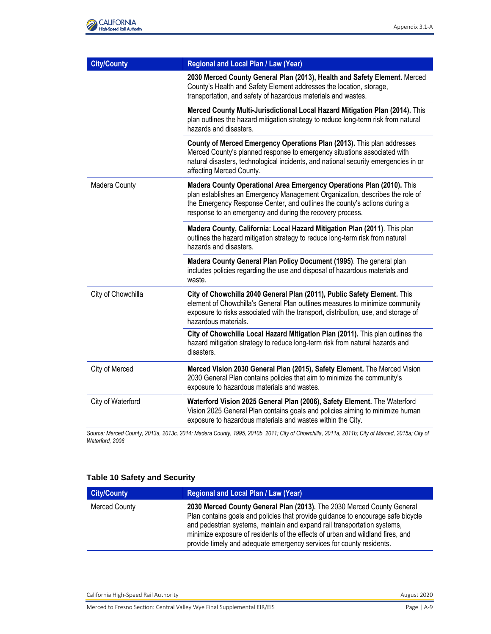| <b>City/County</b> | Regional and Local Plan / Law (Year)                                                                                                                                                                                                                                                            |
|--------------------|-------------------------------------------------------------------------------------------------------------------------------------------------------------------------------------------------------------------------------------------------------------------------------------------------|
|                    | 2030 Merced County General Plan (2013), Health and Safety Element. Merced<br>County's Health and Safety Element addresses the location, storage,<br>transportation, and safety of hazardous materials and wastes.                                                                               |
|                    | Merced County Multi-Jurisdictional Local Hazard Mitigation Plan (2014). This<br>plan outlines the hazard mitigation strategy to reduce long-term risk from natural<br>hazards and disasters.                                                                                                    |
|                    | County of Merced Emergency Operations Plan (2013). This plan addresses<br>Merced County's planned response to emergency situations associated with<br>natural disasters, technological incidents, and national security emergencies in or<br>affecting Merced County.                           |
| Madera County      | Madera County Operational Area Emergency Operations Plan (2010). This<br>plan establishes an Emergency Management Organization, describes the role of<br>the Emergency Response Center, and outlines the county's actions during a<br>response to an emergency and during the recovery process. |
|                    | Madera County, California: Local Hazard Mitigation Plan (2011). This plan<br>outlines the hazard mitigation strategy to reduce long-term risk from natural<br>hazards and disasters.                                                                                                            |
|                    | Madera County General Plan Policy Document (1995). The general plan<br>includes policies regarding the use and disposal of hazardous materials and<br>waste.                                                                                                                                    |
| City of Chowchilla | City of Chowchilla 2040 General Plan (2011), Public Safety Element. This<br>element of Chowchilla's General Plan outlines measures to minimize community<br>exposure to risks associated with the transport, distribution, use, and storage of<br>hazardous materials.                          |
|                    | City of Chowchilla Local Hazard Mitigation Plan (2011). This plan outlines the<br>hazard mitigation strategy to reduce long-term risk from natural hazards and<br>disasters.                                                                                                                    |
| City of Merced     | Merced Vision 2030 General Plan (2015), Safety Element. The Merced Vision<br>2030 General Plan contains policies that aim to minimize the community's<br>exposure to hazardous materials and wastes.                                                                                            |
| City of Waterford  | Waterford Vision 2025 General Plan (2006), Safety Element. The Waterford<br>Vision 2025 General Plan contains goals and policies aiming to minimize human<br>exposure to hazardous materials and wastes within the City.                                                                        |

*Source: Merced County, 2013a, 2013c, 2014; Madera County, 1995, 2010b, 2011; City of Chowchilla, 2011a, 2011b; City of Merced, 2015a; City of Waterford, 2006*

#### **Table 10 Safety and Security**

| <b>City/County</b>   | <b>Regional and Local Plan / Law (Year)</b>                                                                                                                                                                                                                                                                                                                                                      |
|----------------------|--------------------------------------------------------------------------------------------------------------------------------------------------------------------------------------------------------------------------------------------------------------------------------------------------------------------------------------------------------------------------------------------------|
| <b>Merced County</b> | 2030 Merced County General Plan (2013). The 2030 Merced County General<br>Plan contains goals and policies that provide guidance to encourage safe bicycle<br>and pedestrian systems, maintain and expand rail transportation systems,<br>minimize exposure of residents of the effects of urban and wildland fires, and<br>provide timely and adequate emergency services for county residents. |

California High-Speed Rail Authority **August 2020 August 2020** 

Merced to Fresno Section: Central Valley Wye Final Supplemental EIR/EIS Page | A-9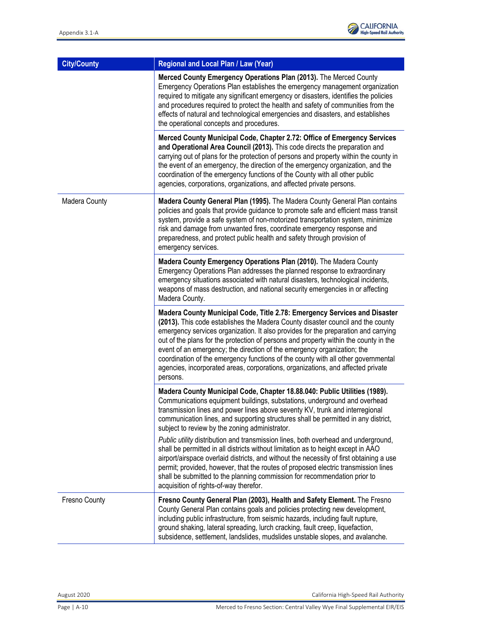| <b>City/County</b> | Regional and Local Plan / Law (Year)                                                                                                                                                                                                                                                                                                                                                                                                                                                                                                                                                                                                                                                                                                                                                                                                                              |
|--------------------|-------------------------------------------------------------------------------------------------------------------------------------------------------------------------------------------------------------------------------------------------------------------------------------------------------------------------------------------------------------------------------------------------------------------------------------------------------------------------------------------------------------------------------------------------------------------------------------------------------------------------------------------------------------------------------------------------------------------------------------------------------------------------------------------------------------------------------------------------------------------|
|                    | Merced County Emergency Operations Plan (2013). The Merced County<br>Emergency Operations Plan establishes the emergency management organization<br>required to mitigate any significant emergency or disasters, identifies the policies<br>and procedures required to protect the health and safety of communities from the<br>effects of natural and technological emergencies and disasters, and establishes<br>the operational concepts and procedures.                                                                                                                                                                                                                                                                                                                                                                                                       |
|                    | Merced County Municipal Code, Chapter 2.72: Office of Emergency Services<br>and Operational Area Council (2013). This code directs the preparation and<br>carrying out of plans for the protection of persons and property within the county in<br>the event of an emergency, the direction of the emergency organization, and the<br>coordination of the emergency functions of the County with all other public<br>agencies, corporations, organizations, and affected private persons.                                                                                                                                                                                                                                                                                                                                                                         |
| Madera County      | Madera County General Plan (1995). The Madera County General Plan contains<br>policies and goals that provide guidance to promote safe and efficient mass transit<br>system, provide a safe system of non-motorized transportation system, minimize<br>risk and damage from unwanted fires, coordinate emergency response and<br>preparedness, and protect public health and safety through provision of<br>emergency services.                                                                                                                                                                                                                                                                                                                                                                                                                                   |
|                    | Madera County Emergency Operations Plan (2010). The Madera County<br>Emergency Operations Plan addresses the planned response to extraordinary<br>emergency situations associated with natural disasters, technological incidents,<br>weapons of mass destruction, and national security emergencies in or affecting<br>Madera County.                                                                                                                                                                                                                                                                                                                                                                                                                                                                                                                            |
|                    | Madera County Municipal Code, Title 2.78: Emergency Services and Disaster<br>(2013). This code establishes the Madera County disaster council and the county<br>emergency services organization. It also provides for the preparation and carrying<br>out of the plans for the protection of persons and property within the county in the<br>event of an emergency; the direction of the emergency organization; the<br>coordination of the emergency functions of the county with all other governmental<br>agencies, incorporated areas, corporations, organizations, and affected private<br>persons.                                                                                                                                                                                                                                                         |
|                    | Madera County Municipal Code, Chapter 18.88.040: Public Utilities (1989).<br>Communications equipment buildings, substations, underground and overhead<br>transmission lines and power lines above seventy KV, trunk and interregional<br>communication lines, and supporting structures shall be permitted in any district,<br>subject to review by the zoning administrator.<br>Public utility distribution and transmission lines, both overhead and underground,<br>shall be permitted in all districts without limitation as to height except in AAO<br>airport/airspace overlaid districts, and without the necessity of first obtaining a use<br>permit; provided, however, that the routes of proposed electric transmission lines<br>shall be submitted to the planning commission for recommendation prior to<br>acquisition of rights-of-way therefor. |
| Fresno County      | Fresno County General Plan (2003), Health and Safety Element. The Fresno<br>County General Plan contains goals and policies protecting new development,<br>including public infrastructure, from seismic hazards, including fault rupture,<br>ground shaking, lateral spreading, lurch cracking, fault creep, liquefaction,<br>subsidence, settlement, landslides, mudslides unstable slopes, and avalanche.                                                                                                                                                                                                                                                                                                                                                                                                                                                      |

August 2020 California High-Speed Rail Authority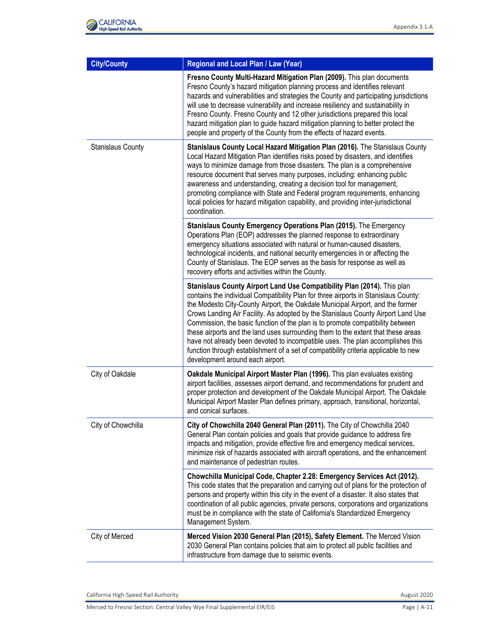

| <b>City/County</b>       | Regional and Local Plan / Law (Year)                                                                                                                                                                                                                                                                                                                                                                                                                                                                                                                                                                                                                                                                                    |
|--------------------------|-------------------------------------------------------------------------------------------------------------------------------------------------------------------------------------------------------------------------------------------------------------------------------------------------------------------------------------------------------------------------------------------------------------------------------------------------------------------------------------------------------------------------------------------------------------------------------------------------------------------------------------------------------------------------------------------------------------------------|
|                          | Fresno County Multi-Hazard Mitigation Plan (2009). This plan documents<br>Fresno County's hazard mitigation planning process and identifies relevant<br>hazards and vulnerabilities and strategies the County and participating jurisdictions<br>will use to decrease vulnerability and increase resiliency and sustainability in<br>Fresno County. Fresno County and 12 other jurisdictions prepared this local<br>hazard mitigation plan to guide hazard mitigation planning to better protect the<br>people and property of the County from the effects of hazard events.                                                                                                                                            |
| <b>Stanislaus County</b> | Stanislaus County Local Hazard Mitigation Plan (2016). The Stanislaus County<br>Local Hazard Mitigation Plan identifies risks posed by disasters, and identifies<br>ways to minimize damage from those disasters. The plan is a comprehensive<br>resource document that serves many purposes, including: enhancing public<br>awareness and understanding, creating a decision tool for management,<br>promoting compliance with State and Federal program requirements, enhancing<br>local policies for hazard mitigation capability, and providing inter-jurisdictional<br>coordination.                                                                                                                               |
|                          | Stanislaus County Emergency Operations Plan (2015). The Emergency<br>Operations Plan (EOP) addresses the planned response to extraordinary<br>emergency situations associated with natural or human-caused disasters,<br>technological incidents, and national security emergencies in or affecting the<br>County of Stanislaus. The EOP serves as the basis for response as well as<br>recovery efforts and activities within the County.                                                                                                                                                                                                                                                                              |
|                          | Stanislaus County Airport Land Use Compatibility Plan (2014). This plan<br>contains the individual Compatibility Plan for three airports in Stanislaus County:<br>the Modesto City-County Airport, the Oakdale Municipal Airport, and the former<br>Crows Landing Air Facility. As adopted by the Stanislaus County Airport Land Use<br>Commission, the basic function of the plan is to promote compatibility between<br>these airports and the land uses surrounding them to the extent that these areas<br>have not already been devoted to incompatible uses. The plan accomplishes this<br>function through establishment of a set of compatibility criteria applicable to new<br>development around each airport. |
| City of Oakdale          | Oakdale Municipal Airport Master Plan (1996). This plan evaluates existing<br>airport facilities, assesses airport demand, and recommendations for prudent and<br>proper protection and development of the Oakdale Municipal Airport. The Oakdale<br>Municipal Airport Master Plan defines primary, approach, transitional, horizontal,<br>and conical surfaces.                                                                                                                                                                                                                                                                                                                                                        |
| City of Chowchilla       | City of Chowchilla 2040 General Plan (2011). The City of Chowchilla 2040<br>General Plan contain policies and goals that provide guidance to address fire<br>impacts and mitigation, provide effective fire and emergency medical services,<br>minimize risk of hazards associated with aircraft operations, and the enhancement<br>and maintenance of pedestrian routes.                                                                                                                                                                                                                                                                                                                                               |
|                          | Chowchilla Municipal Code, Chapter 2.28: Emergency Services Act (2012).<br>This code states that the preparation and carrying out of plans for the protection of<br>persons and property within this city in the event of a disaster. It also states that<br>coordination of all public agencies, private persons, corporations and organizations<br>must be in compliance with the state of California's Standardized Emergency<br>Management System.                                                                                                                                                                                                                                                                  |
| City of Merced           | Merced Vision 2030 General Plan (2015), Safety Element. The Merced Vision<br>2030 General Plan contains policies that aim to protect all public facilities and<br>infrastructure from damage due to seismic events.                                                                                                                                                                                                                                                                                                                                                                                                                                                                                                     |

California High-Speed Rail Authority **August 2020** 

Merced to Fresno Section: Central Valley Wye Final Supplemental EIR/EIS Page 1 A-11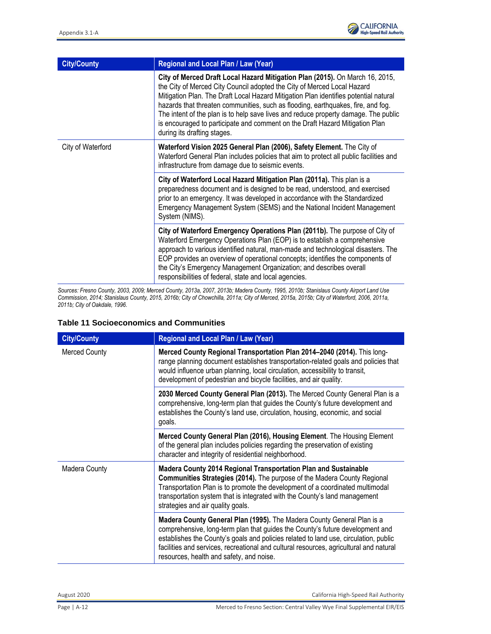

| <b>City/County</b> | Regional and Local Plan / Law (Year)                                                                                                                                                                                                                                                                                                                                                                                                                                                                                                      |
|--------------------|-------------------------------------------------------------------------------------------------------------------------------------------------------------------------------------------------------------------------------------------------------------------------------------------------------------------------------------------------------------------------------------------------------------------------------------------------------------------------------------------------------------------------------------------|
|                    | City of Merced Draft Local Hazard Mitigation Plan (2015). On March 16, 2015,<br>the City of Merced City Council adopted the City of Merced Local Hazard<br>Mitigation Plan. The Draft Local Hazard Mitigation Plan identifies potential natural<br>hazards that threaten communities, such as flooding, earthquakes, fire, and fog.<br>The intent of the plan is to help save lives and reduce property damage. The public<br>is encouraged to participate and comment on the Draft Hazard Mitigation Plan<br>during its drafting stages. |
| City of Waterford  | Waterford Vision 2025 General Plan (2006), Safety Element. The City of<br>Waterford General Plan includes policies that aim to protect all public facilities and<br>infrastructure from damage due to seismic events.                                                                                                                                                                                                                                                                                                                     |
|                    | City of Waterford Local Hazard Mitigation Plan (2011a). This plan is a<br>preparedness document and is designed to be read, understood, and exercised<br>prior to an emergency. It was developed in accordance with the Standardized<br>Emergency Management System (SEMS) and the National Incident Management<br>System (NIMS).                                                                                                                                                                                                         |
|                    | City of Waterford Emergency Operations Plan (2011b). The purpose of City of<br>Waterford Emergency Operations Plan (EOP) is to establish a comprehensive<br>approach to various identified natural, man-made and technological disasters. The<br>EOP provides an overview of operational concepts; identifies the components of<br>the City's Emergency Management Organization; and describes overall<br>responsibilities of federal, state and local agencies.                                                                          |

*Sources: Fresno County, 2003, 2009; Merced County, 2013a, 2007, 2013b; Madera County, 1995, 2010b; Stanislaus County Airport Land Use Commission, 2014; Stanislaus County, 2015, 2016b; City of Chowchilla, 2011a; City of Merced, 2015a, 2015b; City of Waterford, 2006, 2011a, 2011b; City of Oakdale, 1996.*

#### **Table 11 Socioeconomics and Communities**

| <b>City/County</b>   | Regional and Local Plan / Law (Year)                                                                                                                                                                                                                                                                                                                                                  |
|----------------------|---------------------------------------------------------------------------------------------------------------------------------------------------------------------------------------------------------------------------------------------------------------------------------------------------------------------------------------------------------------------------------------|
| <b>Merced County</b> | Merced County Regional Transportation Plan 2014-2040 (2014). This long-<br>range planning document establishes transportation-related goals and policies that<br>would influence urban planning, local circulation, accessibility to transit,<br>development of pedestrian and bicycle facilities, and air quality.                                                                   |
|                      | 2030 Merced County General Plan (2013). The Merced County General Plan is a<br>comprehensive, long-term plan that guides the County's future development and<br>establishes the County's land use, circulation, housing, economic, and social<br>goals.                                                                                                                               |
|                      | Merced County General Plan (2016), Housing Element. The Housing Element<br>of the general plan includes policies regarding the preservation of existing<br>character and integrity of residential neighborhood.                                                                                                                                                                       |
| Madera County        | Madera County 2014 Regional Transportation Plan and Sustainable<br>Communities Strategies (2014). The purpose of the Madera County Regional<br>Transportation Plan is to promote the development of a coordinated multimodal<br>transportation system that is integrated with the County's land management<br>strategies and air quality goals.                                       |
|                      | Madera County General Plan (1995). The Madera County General Plan is a<br>comprehensive, long-term plan that guides the County's future development and<br>establishes the County's goals and policies related to land use, circulation, public<br>facilities and services, recreational and cultural resources, agricultural and natural<br>resources, health and safety, and noise. |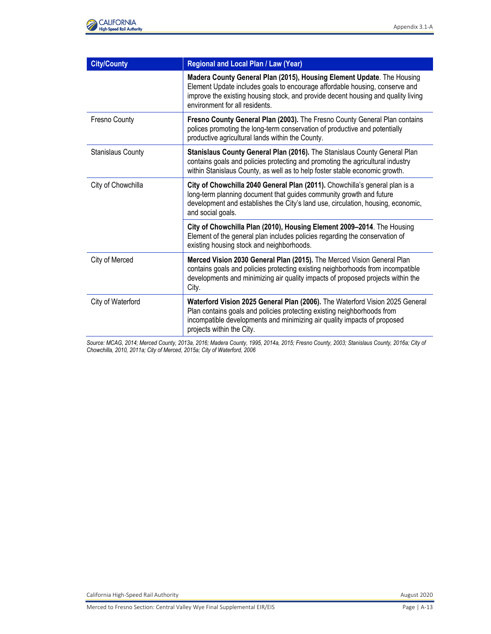

| <b>City/County</b> | Regional and Local Plan / Law (Year)                                                                                                                                                                                                                                         |
|--------------------|------------------------------------------------------------------------------------------------------------------------------------------------------------------------------------------------------------------------------------------------------------------------------|
|                    | Madera County General Plan (2015), Housing Element Update. The Housing<br>Element Update includes goals to encourage affordable housing, conserve and<br>improve the existing housing stock, and provide decent housing and quality living<br>environment for all residents. |
| Fresno County      | Fresno County General Plan (2003). The Fresno County General Plan contains<br>polices promoting the long-term conservation of productive and potentially<br>productive agricultural lands within the County.                                                                 |
| Stanislaus County  | Stanislaus County General Plan (2016). The Stanislaus County General Plan<br>contains goals and policies protecting and promoting the agricultural industry<br>within Stanislaus County, as well as to help foster stable economic growth.                                   |
| City of Chowchilla | City of Chowchilla 2040 General Plan (2011). Chowchilla's general plan is a<br>long-term planning document that guides community growth and future<br>development and establishes the City's land use, circulation, housing, economic,<br>and social goals.                  |
|                    | City of Chowchilla Plan (2010), Housing Element 2009-2014. The Housing<br>Element of the general plan includes policies regarding the conservation of<br>existing housing stock and neighborhoods.                                                                           |
| City of Merced     | Merced Vision 2030 General Plan (2015). The Merced Vision General Plan<br>contains goals and policies protecting existing neighborhoods from incompatible<br>developments and minimizing air quality impacts of proposed projects within the<br>City.                        |
| City of Waterford  | Waterford Vision 2025 General Plan (2006). The Waterford Vision 2025 General<br>Plan contains goals and policies protecting existing neighborhoods from<br>incompatible developments and minimizing air quality impacts of proposed<br>projects within the City.             |

*Source: MCAG, 2014; Merced County, 2013a, 2016; Madera County, 1995, 2014a, 2015; Fresno County, 2003; Stanislaus County, 2016a; City of Chowchilla, 2010, 2011a; City of Merced, 2015a; City of Waterford, 2006*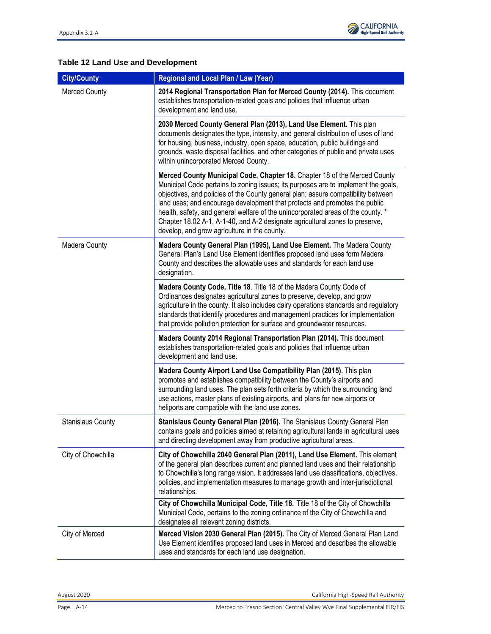

# **Table 12 Land Use and Development**

| <b>City/County</b>       | Regional and Local Plan / Law (Year)                                                                                                                                                                                                                                                                                                                                                                                                                                                                                                                   |
|--------------------------|--------------------------------------------------------------------------------------------------------------------------------------------------------------------------------------------------------------------------------------------------------------------------------------------------------------------------------------------------------------------------------------------------------------------------------------------------------------------------------------------------------------------------------------------------------|
| <b>Merced County</b>     | 2014 Regional Transportation Plan for Merced County (2014). This document<br>establishes transportation-related goals and policies that influence urban<br>development and land use.                                                                                                                                                                                                                                                                                                                                                                   |
|                          | 2030 Merced County General Plan (2013), Land Use Element. This plan<br>documents designates the type, intensity, and general distribution of uses of land<br>for housing, business, industry, open space, education, public buildings and<br>grounds, waste disposal facilities, and other categories of public and private uses<br>within unincorporated Merced County.                                                                                                                                                                               |
|                          | Merced County Municipal Code, Chapter 18. Chapter 18 of the Merced County<br>Municipal Code pertains to zoning issues; its purposes are to implement the goals,<br>objectives, and policies of the County general plan; assure compatibility between<br>land uses; and encourage development that protects and promotes the public<br>health, safety, and general welfare of the unincorporated areas of the county. *<br>Chapter 18.02 A-1, A-1-40, and A-2 designate agricultural zones to preserve,<br>develop, and grow agriculture in the county. |
| Madera County            | Madera County General Plan (1995), Land Use Element. The Madera County<br>General Plan's Land Use Element identifies proposed land uses form Madera<br>County and describes the allowable uses and standards for each land use<br>designation.                                                                                                                                                                                                                                                                                                         |
|                          | Madera County Code, Title 18. Title 18 of the Madera County Code of<br>Ordinances designates agricultural zones to preserve, develop, and grow<br>agriculture in the county. It also includes dairy operations standards and regulatory<br>standards that identify procedures and management practices for implementation<br>that provide pollution protection for surface and groundwater resources.                                                                                                                                                  |
|                          | Madera County 2014 Regional Transportation Plan (2014). This document<br>establishes transportation-related goals and policies that influence urban<br>development and land use.                                                                                                                                                                                                                                                                                                                                                                       |
|                          | Madera County Airport Land Use Compatibility Plan (2015). This plan<br>promotes and establishes compatibility between the County's airports and<br>surrounding land uses. The plan sets forth criteria by which the surrounding land<br>use actions, master plans of existing airports, and plans for new airports or<br>heliports are compatible with the land use zones.                                                                                                                                                                             |
| <b>Stanislaus County</b> | Stanislaus County General Plan (2016). The Stanislaus County General Plan<br>contains goals and policies aimed at retaining agricultural lands in agricultural uses<br>and directing development away from productive agricultural areas.                                                                                                                                                                                                                                                                                                              |
| City of Chowchilla       | City of Chowchilla 2040 General Plan (2011), Land Use Element. This element<br>of the general plan describes current and planned land uses and their relationship<br>to Chowchilla's long range vision. It addresses land use classifications, objectives,<br>policies, and implementation measures to manage growth and inter-jurisdictional<br>relationships.                                                                                                                                                                                        |
|                          | City of Chowchilla Municipal Code, Title 18. Title 18 of the City of Chowchilla<br>Municipal Code, pertains to the zoning ordinance of the City of Chowchilla and<br>designates all relevant zoning districts.                                                                                                                                                                                                                                                                                                                                         |
| City of Merced           | Merced Vision 2030 General Plan (2015). The City of Merced General Plan Land<br>Use Element identifies proposed land uses in Merced and describes the allowable<br>uses and standards for each land use designation.                                                                                                                                                                                                                                                                                                                                   |

August 2020 California High-Speed Rail Authority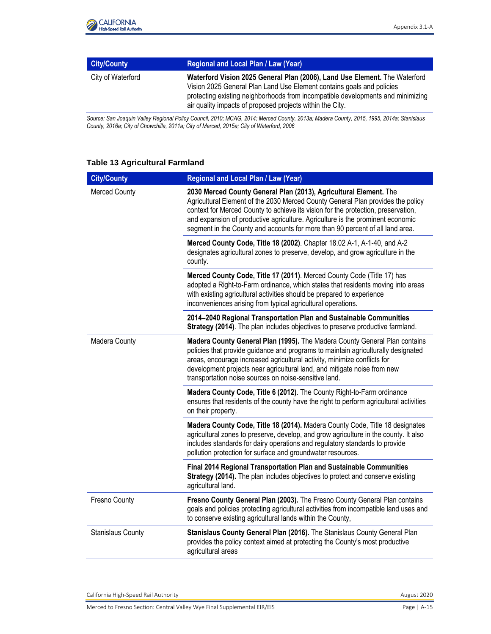

| <b>City/County</b> | <b>Regional and Local Plan / Law (Year)</b>                                                                                                                                                                                                                                                         |
|--------------------|-----------------------------------------------------------------------------------------------------------------------------------------------------------------------------------------------------------------------------------------------------------------------------------------------------|
| City of Waterford  | Waterford Vision 2025 General Plan (2006), Land Use Element. The Waterford<br>Vision 2025 General Plan Land Use Element contains goals and policies<br>protecting existing neighborhoods from incompatible developments and minimizing<br>air quality impacts of proposed projects within the City. |

*Source: San Joaquin Valley Regional Policy Council, 2010; MCAG, 2014; Merced County, 2013a; Madera County, 2015, 1995, 2014a; Stanislaus County, 2016a; City of Chowchilla, 2011a; City of Merced, 2015a; City of Waterford, 2006*

#### **Table 13 Agricultural Farmland**

| <b>City/County</b>       | Regional and Local Plan / Law (Year)                                                                                                                                                                                                                                                                                                                                                                         |
|--------------------------|--------------------------------------------------------------------------------------------------------------------------------------------------------------------------------------------------------------------------------------------------------------------------------------------------------------------------------------------------------------------------------------------------------------|
| Merced County            | 2030 Merced County General Plan (2013), Agricultural Element. The<br>Agricultural Element of the 2030 Merced County General Plan provides the policy<br>context for Merced County to achieve its vision for the protection, preservation,<br>and expansion of productive agriculture. Agriculture is the prominent economic<br>segment in the County and accounts for more than 90 percent of all land area. |
|                          | Merced County Code, Title 18 (2002). Chapter 18.02 A-1, A-1-40, and A-2<br>designates agricultural zones to preserve, develop, and grow agriculture in the<br>county.                                                                                                                                                                                                                                        |
|                          | Merced County Code, Title 17 (2011). Merced County Code (Title 17) has<br>adopted a Right-to-Farm ordinance, which states that residents moving into areas<br>with existing agricultural activities should be prepared to experience<br>inconveniences arising from typical agricultural operations.                                                                                                         |
|                          | 2014-2040 Regional Transportation Plan and Sustainable Communities<br>Strategy (2014). The plan includes objectives to preserve productive farmland.                                                                                                                                                                                                                                                         |
| Madera County            | Madera County General Plan (1995). The Madera County General Plan contains<br>policies that provide guidance and programs to maintain agriculturally designated<br>areas, encourage increased agricultural activity, minimize conflicts for<br>development projects near agricultural land, and mitigate noise from new<br>transportation noise sources on noise-sensitive land.                             |
|                          | Madera County Code, Title 6 (2012). The County Right-to-Farm ordinance<br>ensures that residents of the county have the right to perform agricultural activities<br>on their property.                                                                                                                                                                                                                       |
|                          | Madera County Code, Title 18 (2014). Madera County Code, Title 18 designates<br>agricultural zones to preserve, develop, and grow agriculture in the county. It also<br>includes standards for dairy operations and regulatory standards to provide<br>pollution protection for surface and groundwater resources.                                                                                           |
|                          | Final 2014 Regional Transportation Plan and Sustainable Communities<br>Strategy (2014). The plan includes objectives to protect and conserve existing<br>agricultural land.                                                                                                                                                                                                                                  |
| Fresno County            | Fresno County General Plan (2003). The Fresno County General Plan contains<br>goals and policies protecting agricultural activities from incompatible land uses and<br>to conserve existing agricultural lands within the County,                                                                                                                                                                            |
| <b>Stanislaus County</b> | Stanislaus County General Plan (2016). The Stanislaus County General Plan<br>provides the policy context aimed at protecting the County's most productive<br>agricultural areas                                                                                                                                                                                                                              |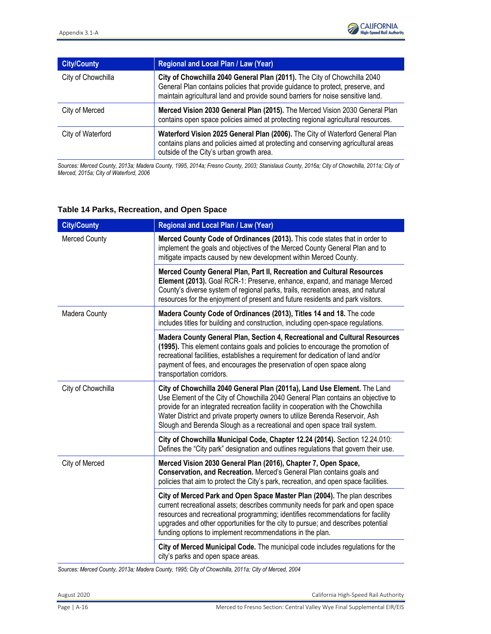| <b>City/County</b> | Regional and Local Plan / Law (Year)                                                                                                                                                                                                          |
|--------------------|-----------------------------------------------------------------------------------------------------------------------------------------------------------------------------------------------------------------------------------------------|
| City of Chowchilla | City of Chowchilla 2040 General Plan (2011). The City of Chowchilla 2040<br>General Plan contains policies that provide guidance to protect, preserve, and<br>maintain agricultural land and provide sound barriers for noise sensitive land. |
| City of Merced     | Merced Vision 2030 General Plan (2015). The Merced Vision 2030 General Plan<br>contains open space policies aimed at protecting regional agricultural resources.                                                                              |
| City of Waterford  | Waterford Vision 2025 General Plan (2006). The City of Waterford General Plan<br>contains plans and policies aimed at protecting and conserving agricultural areas<br>outside of the City's urban growth area.                                |

*Sources: Merced County, 2013a; Madera County, 1995, 2014a; Fresno County, 2003; Stanislaus County, 2016a; City of Chowchilla, 2011a; City of Merced, 2015a; City of Waterford, 2006*

#### **Table 14 Parks, Recreation, and Open Space**

| <b>City/County</b>   | Regional and Local Plan / Law (Year)                                                                                                                                                                                                                                                                                                                                                                         |
|----------------------|--------------------------------------------------------------------------------------------------------------------------------------------------------------------------------------------------------------------------------------------------------------------------------------------------------------------------------------------------------------------------------------------------------------|
| <b>Merced County</b> | Merced County Code of Ordinances (2013). This code states that in order to<br>implement the goals and objectives of the Merced County General Plan and to<br>mitigate impacts caused by new development within Merced County.                                                                                                                                                                                |
|                      | Merced County General Plan, Part II, Recreation and Cultural Resources<br>Element (2013). Goal RCR-1: Preserve, enhance, expand, and manage Merced<br>County's diverse system of regional parks, trails, recreation areas, and natural<br>resources for the enjoyment of present and future residents and park visitors.                                                                                     |
| Madera County        | Madera County Code of Ordinances (2013), Titles 14 and 18. The code<br>includes titles for building and construction, including open-space regulations.                                                                                                                                                                                                                                                      |
|                      | Madera County General Plan, Section 4, Recreational and Cultural Resources<br>(1995). This element contains goals and policies to encourage the promotion of<br>recreational facilities, establishes a requirement for dedication of land and/or<br>payment of fees, and encourages the preservation of open space along<br>transportation corridors.                                                        |
| City of Chowchilla   | City of Chowchilla 2040 General Plan (2011a), Land Use Element. The Land<br>Use Element of the City of Chowchilla 2040 General Plan contains an objective to<br>provide for an integrated recreation facility in cooperation with the Chowchilla<br>Water District and private property owners to utilize Berenda Reservoir, Ash<br>Slough and Berenda Slough as a recreational and open space trail system. |
|                      | City of Chowchilla Municipal Code, Chapter 12.24 (2014). Section 12.24.010:<br>Defines the "City park" designation and outlines regulations that govern their use.                                                                                                                                                                                                                                           |
| City of Merced       | Merced Vision 2030 General Plan (2016), Chapter 7, Open Space,<br>Conservation, and Recreation. Merced's General Plan contains goals and<br>policies that aim to protect the City's park, recreation, and open space facilities.                                                                                                                                                                             |
|                      | City of Merced Park and Open Space Master Plan (2004). The plan describes<br>current recreational assets; describes community needs for park and open space<br>resources and recreational programming; identifies recommendations for facility<br>upgrades and other opportunities for the city to pursue; and describes potential<br>funding options to implement recommendations in the plan.              |
|                      | City of Merced Municipal Code. The municipal code includes regulations for the<br>city's parks and open space areas.                                                                                                                                                                                                                                                                                         |

*Sources: Merced County, 2013a; Madera County, 1995; City of Chowchilla, 2011a; City of Merced, 2004*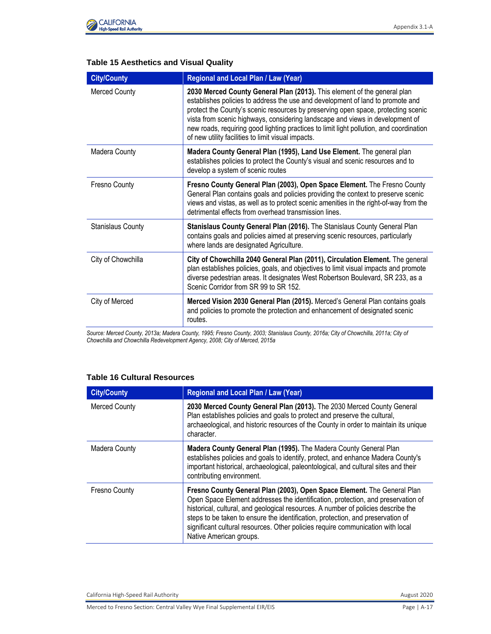

### **Table 15 Aesthetics and Visual Quality**

| <b>City/County</b>       | Regional and Local Plan / Law (Year)                                                                                                                                                                                                                                                                                                                                                                                                                                              |
|--------------------------|-----------------------------------------------------------------------------------------------------------------------------------------------------------------------------------------------------------------------------------------------------------------------------------------------------------------------------------------------------------------------------------------------------------------------------------------------------------------------------------|
| <b>Merced County</b>     | 2030 Merced County General Plan (2013). This element of the general plan<br>establishes policies to address the use and development of land to promote and<br>protect the County's scenic resources by preserving open space, protecting scenic<br>vista from scenic highways, considering landscape and views in development of<br>new roads, requiring good lighting practices to limit light pollution, and coordination<br>of new utility facilities to limit visual impacts. |
| Madera County            | Madera County General Plan (1995), Land Use Element. The general plan<br>establishes policies to protect the County's visual and scenic resources and to<br>develop a system of scenic routes                                                                                                                                                                                                                                                                                     |
| Fresno County            | Fresno County General Plan (2003), Open Space Element. The Fresno County<br>General Plan contains goals and policies providing the context to preserve scenic<br>views and vistas, as well as to protect scenic amenities in the right-of-way from the<br>detrimental effects from overhead transmission lines.                                                                                                                                                                   |
| <b>Stanislaus County</b> | Stanislaus County General Plan (2016). The Stanislaus County General Plan<br>contains goals and policies aimed at preserving scenic resources, particularly<br>where lands are designated Agriculture.                                                                                                                                                                                                                                                                            |
| City of Chowchilla       | City of Chowchilla 2040 General Plan (2011), Circulation Element. The general<br>plan establishes policies, goals, and objectives to limit visual impacts and promote<br>diverse pedestrian areas. It designates West Robertson Boulevard, SR 233, as a<br>Scenic Corridor from SR 99 to SR 152.                                                                                                                                                                                  |
| City of Merced           | Merced Vision 2030 General Plan (2015). Merced's General Plan contains goals<br>and policies to promote the protection and enhancement of designated scenic<br>routes.                                                                                                                                                                                                                                                                                                            |

*Source: Merced County, 2013a; Madera County, 1995; Fresno County, 2003; Stanislaus County, 2016a; City of Chowchilla, 2011a; City of Chowchilla and Chowchilla Redevelopment Agency, 2008; City of Merced, 2015a*

#### **Table 16 Cultural Resources**

| <b>City/County</b>   | <b>Regional and Local Plan / Law (Year)</b>                                                                                                                                                                                                                                                                                                                                                                                                       |
|----------------------|---------------------------------------------------------------------------------------------------------------------------------------------------------------------------------------------------------------------------------------------------------------------------------------------------------------------------------------------------------------------------------------------------------------------------------------------------|
| Merced County        | 2030 Merced County General Plan (2013). The 2030 Merced County General<br>Plan establishes policies and goals to protect and preserve the cultural,<br>archaeological, and historic resources of the County in order to maintain its unique<br>character.                                                                                                                                                                                         |
| <b>Madera County</b> | Madera County General Plan (1995). The Madera County General Plan<br>establishes policies and goals to identify, protect, and enhance Madera County's<br>important historical, archaeological, paleontological, and cultural sites and their<br>contributing environment.                                                                                                                                                                         |
| <b>Fresno County</b> | Fresno County General Plan (2003), Open Space Element. The General Plan<br>Open Space Element addresses the identification, protection, and preservation of<br>historical, cultural, and geological resources. A number of policies describe the<br>steps to be taken to ensure the identification, protection, and preservation of<br>significant cultural resources. Other policies require communication with local<br>Native American groups. |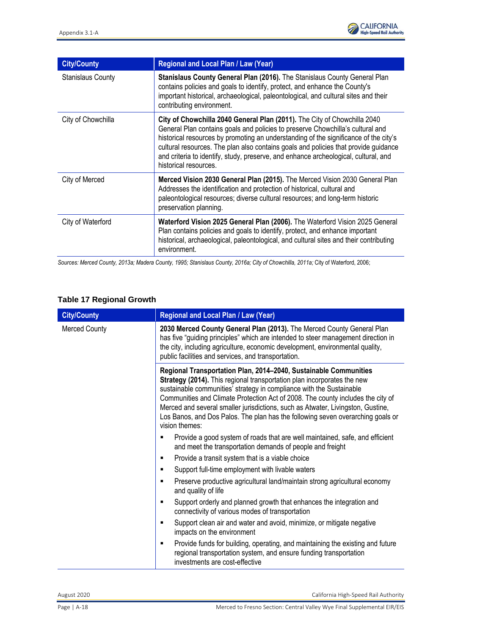

| <b>City/County</b>       | Regional and Local Plan / Law (Year)                                                                                                                                                                                                                                                                                                                                                                                                                      |
|--------------------------|-----------------------------------------------------------------------------------------------------------------------------------------------------------------------------------------------------------------------------------------------------------------------------------------------------------------------------------------------------------------------------------------------------------------------------------------------------------|
| <b>Stanislaus County</b> | Stanislaus County General Plan (2016). The Stanislaus County General Plan<br>contains policies and goals to identify, protect, and enhance the County's<br>important historical, archaeological, paleontological, and cultural sites and their<br>contributing environment.                                                                                                                                                                               |
| City of Chowchilla       | City of Chowchilla 2040 General Plan (2011). The City of Chowchilla 2040<br>General Plan contains goals and policies to preserve Chowchilla's cultural and<br>historical resources by promoting an understanding of the significance of the city's<br>cultural resources. The plan also contains goals and policies that provide guidance<br>and criteria to identify, study, preserve, and enhance archeological, cultural, and<br>historical resources. |
| City of Merced           | Merced Vision 2030 General Plan (2015). The Merced Vision 2030 General Plan<br>Addresses the identification and protection of historical, cultural and<br>paleontological resources; diverse cultural resources; and long-term historic<br>preservation planning.                                                                                                                                                                                         |
| City of Waterford        | Waterford Vision 2025 General Plan (2006). The Waterford Vision 2025 General<br>Plan contains policies and goals to identify, protect, and enhance important<br>historical, archaeological, paleontological, and cultural sites and their contributing<br>environment.                                                                                                                                                                                    |

*Sources: Merced County, 2013a; Madera County, 1995; Stanislaus County, 2016a; City of Chowchilla, 2011a;* City of Waterford, 2006;

### **Table 17 Regional Growth**

| <b>City/County</b>   | Regional and Local Plan / Law (Year)                                                                                                                                                                                                                                                                                                                                                                                                                                                           |
|----------------------|------------------------------------------------------------------------------------------------------------------------------------------------------------------------------------------------------------------------------------------------------------------------------------------------------------------------------------------------------------------------------------------------------------------------------------------------------------------------------------------------|
| <b>Merced County</b> | 2030 Merced County General Plan (2013). The Merced County General Plan<br>has five "guiding principles" which are intended to steer management direction in<br>the city, including agriculture, economic development, environmental quality,<br>public facilities and services, and transportation.                                                                                                                                                                                            |
|                      | Regional Transportation Plan, 2014-2040, Sustainable Communities<br>Strategy (2014). This regional transportation plan incorporates the new<br>sustainable communities' strategy in compliance with the Sustainable<br>Communities and Climate Protection Act of 2008. The county includes the city of<br>Merced and several smaller jurisdictions, such as Atwater, Livingston, Gustine,<br>Los Banos, and Dos Palos. The plan has the following seven overarching goals or<br>vision themes: |
|                      | Provide a good system of roads that are well maintained, safe, and efficient<br>п<br>and meet the transportation demands of people and freight                                                                                                                                                                                                                                                                                                                                                 |
|                      | Provide a transit system that is a viable choice<br>п                                                                                                                                                                                                                                                                                                                                                                                                                                          |
|                      | Support full-time employment with livable waters<br>٠                                                                                                                                                                                                                                                                                                                                                                                                                                          |
|                      | Preserve productive agricultural land/maintain strong agricultural economy<br>п<br>and quality of life                                                                                                                                                                                                                                                                                                                                                                                         |
|                      | Support orderly and planned growth that enhances the integration and<br>٠<br>connectivity of various modes of transportation                                                                                                                                                                                                                                                                                                                                                                   |
|                      | Support clean air and water and avoid, minimize, or mitigate negative<br>٠<br>impacts on the environment                                                                                                                                                                                                                                                                                                                                                                                       |
|                      | Provide funds for building, operating, and maintaining the existing and future<br>٠<br>regional transportation system, and ensure funding transportation<br>investments are cost-effective                                                                                                                                                                                                                                                                                                     |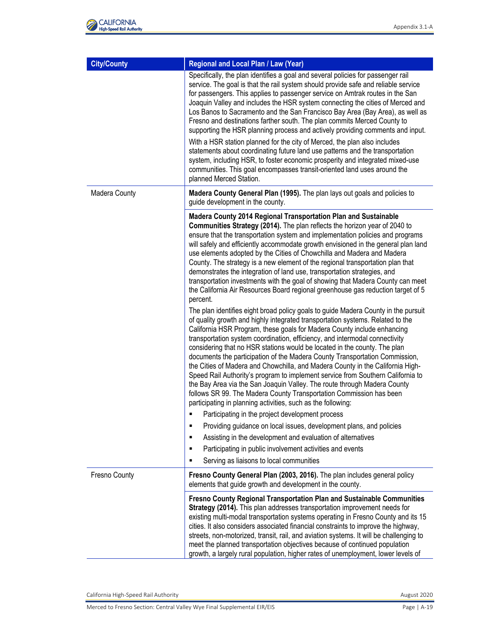| <b>City/County</b>   | Regional and Local Plan / Law (Year)                                                                                                                                                                                                                                                                                                                                                                                                                                                                                                                                                                                                                                                                                                                                                                                                                                                                                                                                                                                                                                                                                                                                                                                                                                                                                                                                                                                                                                                                                                                                                                                                                                                                                                                                                                                                                                                                                                                          |
|----------------------|---------------------------------------------------------------------------------------------------------------------------------------------------------------------------------------------------------------------------------------------------------------------------------------------------------------------------------------------------------------------------------------------------------------------------------------------------------------------------------------------------------------------------------------------------------------------------------------------------------------------------------------------------------------------------------------------------------------------------------------------------------------------------------------------------------------------------------------------------------------------------------------------------------------------------------------------------------------------------------------------------------------------------------------------------------------------------------------------------------------------------------------------------------------------------------------------------------------------------------------------------------------------------------------------------------------------------------------------------------------------------------------------------------------------------------------------------------------------------------------------------------------------------------------------------------------------------------------------------------------------------------------------------------------------------------------------------------------------------------------------------------------------------------------------------------------------------------------------------------------------------------------------------------------------------------------------------------------|
|                      | Specifically, the plan identifies a goal and several policies for passenger rail<br>service. The goal is that the rail system should provide safe and reliable service<br>for passengers. This applies to passenger service on Amtrak routes in the San<br>Joaquin Valley and includes the HSR system connecting the cities of Merced and<br>Los Banos to Sacramento and the San Francisco Bay Area (Bay Area), as well as<br>Fresno and destinations farther south. The plan commits Merced County to<br>supporting the HSR planning process and actively providing comments and input.                                                                                                                                                                                                                                                                                                                                                                                                                                                                                                                                                                                                                                                                                                                                                                                                                                                                                                                                                                                                                                                                                                                                                                                                                                                                                                                                                                      |
|                      | With a HSR station planned for the city of Merced, the plan also includes<br>statements about coordinating future land use patterns and the transportation<br>system, including HSR, to foster economic prosperity and integrated mixed-use<br>communities. This goal encompasses transit-oriented land uses around the<br>planned Merced Station.                                                                                                                                                                                                                                                                                                                                                                                                                                                                                                                                                                                                                                                                                                                                                                                                                                                                                                                                                                                                                                                                                                                                                                                                                                                                                                                                                                                                                                                                                                                                                                                                            |
| Madera County        | Madera County General Plan (1995). The plan lays out goals and policies to<br>guide development in the county.                                                                                                                                                                                                                                                                                                                                                                                                                                                                                                                                                                                                                                                                                                                                                                                                                                                                                                                                                                                                                                                                                                                                                                                                                                                                                                                                                                                                                                                                                                                                                                                                                                                                                                                                                                                                                                                |
|                      | Madera County 2014 Regional Transportation Plan and Sustainable<br>Communities Strategy (2014). The plan reflects the horizon year of 2040 to<br>ensure that the transportation system and implementation policies and programs<br>will safely and efficiently accommodate growth envisioned in the general plan land<br>use elements adopted by the Cities of Chowchilla and Madera and Madera<br>County. The strategy is a new element of the regional transportation plan that<br>demonstrates the integration of land use, transportation strategies, and<br>transportation investments with the goal of showing that Madera County can meet<br>the California Air Resources Board regional greenhouse gas reduction target of 5<br>percent.<br>The plan identifies eight broad policy goals to guide Madera County in the pursuit<br>of quality growth and highly integrated transportation systems. Related to the<br>California HSR Program, these goals for Madera County include enhancing<br>transportation system coordination, efficiency, and intermodal connectivity<br>considering that no HSR stations would be located in the county. The plan<br>documents the participation of the Madera County Transportation Commission,<br>the Cities of Madera and Chowchilla, and Madera County in the California High-<br>Speed Rail Authority's program to implement service from Southern California to<br>the Bay Area via the San Joaquin Valley. The route through Madera County<br>follows SR 99. The Madera County Transportation Commission has been<br>participating in planning activities, such as the following:<br>Participating in the project development process<br>Providing guidance on local issues, development plans, and policies<br>П<br>Assisting in the development and evaluation of alternatives<br>٠<br>Participating in public involvement activities and events<br>٠<br>Serving as liaisons to local communities<br>П |
| <b>Fresno County</b> | Fresno County General Plan (2003, 2016). The plan includes general policy<br>elements that guide growth and development in the county.                                                                                                                                                                                                                                                                                                                                                                                                                                                                                                                                                                                                                                                                                                                                                                                                                                                                                                                                                                                                                                                                                                                                                                                                                                                                                                                                                                                                                                                                                                                                                                                                                                                                                                                                                                                                                        |
|                      | Fresno County Regional Transportation Plan and Sustainable Communities<br>Strategy (2014). This plan addresses transportation improvement needs for<br>existing multi-modal transportation systems operating in Fresno County and its 15<br>cities. It also considers associated financial constraints to improve the highway,<br>streets, non-motorized, transit, rail, and aviation systems. It will be challenging to<br>meet the planned transportation objectives because of continued population<br>growth, a largely rural population, higher rates of unemployment, lower levels of                                                                                                                                                                                                                                                                                                                                                                                                                                                                                                                                                                                                                                                                                                                                                                                                                                                                                                                                                                                                                                                                                                                                                                                                                                                                                                                                                                   |

California High-Speed Rail Authority **August 2020** 

Merced to Fresno Section: Central Valley Wye Final Supplemental EIR/EIS Page 1 A-19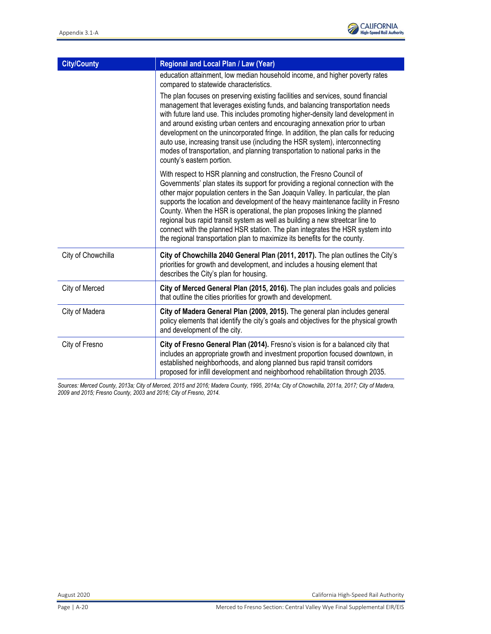

| <b>City/County</b> | Regional and Local Plan / Law (Year)                                                                                                                                                                                                                                                                                                                                                                                                                                                                                                                                                                                                                             |
|--------------------|------------------------------------------------------------------------------------------------------------------------------------------------------------------------------------------------------------------------------------------------------------------------------------------------------------------------------------------------------------------------------------------------------------------------------------------------------------------------------------------------------------------------------------------------------------------------------------------------------------------------------------------------------------------|
|                    | education attainment, low median household income, and higher poverty rates<br>compared to statewide characteristics.                                                                                                                                                                                                                                                                                                                                                                                                                                                                                                                                            |
|                    | The plan focuses on preserving existing facilities and services, sound financial<br>management that leverages existing funds, and balancing transportation needs<br>with future land use. This includes promoting higher-density land development in<br>and around existing urban centers and encouraging annexation prior to urban<br>development on the unincorporated fringe. In addition, the plan calls for reducing<br>auto use, increasing transit use (including the HSR system), interconnecting<br>modes of transportation, and planning transportation to national parks in the<br>county's eastern portion.                                          |
|                    | With respect to HSR planning and construction, the Fresno Council of<br>Governments' plan states its support for providing a regional connection with the<br>other major population centers in the San Joaquin Valley. In particular, the plan<br>supports the location and development of the heavy maintenance facility in Fresno<br>County. When the HSR is operational, the plan proposes linking the planned<br>regional bus rapid transit system as well as building a new streetcar line to<br>connect with the planned HSR station. The plan integrates the HSR system into<br>the regional transportation plan to maximize its benefits for the county. |
| City of Chowchilla | City of Chowchilla 2040 General Plan (2011, 2017). The plan outlines the City's<br>priorities for growth and development, and includes a housing element that<br>describes the City's plan for housing.                                                                                                                                                                                                                                                                                                                                                                                                                                                          |
| City of Merced     | City of Merced General Plan (2015, 2016). The plan includes goals and policies<br>that outline the cities priorities for growth and development.                                                                                                                                                                                                                                                                                                                                                                                                                                                                                                                 |
| City of Madera     | City of Madera General Plan (2009, 2015). The general plan includes general<br>policy elements that identify the city's goals and objectives for the physical growth<br>and development of the city.                                                                                                                                                                                                                                                                                                                                                                                                                                                             |
| City of Fresno     | City of Fresno General Plan (2014). Fresno's vision is for a balanced city that<br>includes an appropriate growth and investment proportion focused downtown, in<br>established neighborhoods, and along planned bus rapid transit corridors<br>proposed for infill development and neighborhood rehabilitation through 2035.                                                                                                                                                                                                                                                                                                                                    |

*Sources: Merced County, 2013a; City of Merced, 2015 and 2016; Madera County, 1995, 2014a; City of Chowchilla, 2011a, 2017; City of Madera, 2009 and 2015; Fresno County, 2003 and 2016; City of Fresno, 2014.*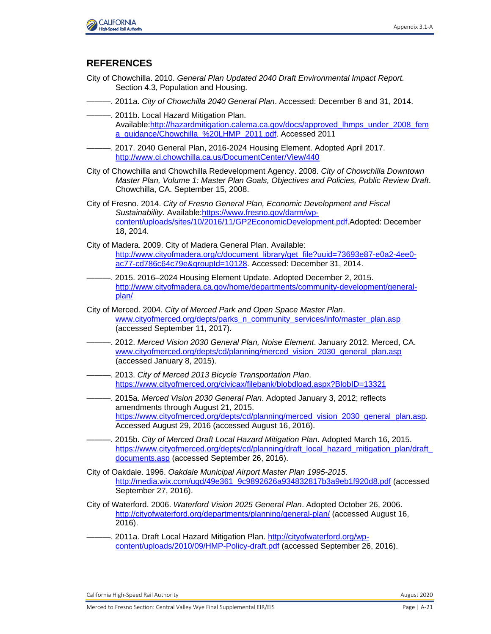

## **REFERENCES**

- City of Chowchilla. 2010. *General Plan Updated 2040 Draft Environmental Impact Report.*  Section 4.3, Population and Housing.
- ———. 2011a. *City of Chowchilla 2040 General Plan*. Accessed: December 8 and 31, 2014.
- ———. 2011b. Local Hazard Mitigation Plan. Available[:http://hazardmitigation.calema.ca.gov/docs/approved\\_lhmps\\_under\\_2008\\_fem](http://hazardmitigation.calema.ca.gov/docs/approved_lhmps_under_2008_fema_guidance/Chowchilla_%20LHMP_2011.pdf) [a\\_guidance/Chowchilla\\_%20LHMP\\_2011.pdf.](http://hazardmitigation.calema.ca.gov/docs/approved_lhmps_under_2008_fema_guidance/Chowchilla_%20LHMP_2011.pdf) Accessed 2011
- ———. 2017. 2040 General Plan, 2016-2024 Housing Element. Adopted April 2017. <http://www.ci.chowchilla.ca.us/DocumentCenter/View/440>
- City of Chowchilla and Chowchilla Redevelopment Agency. 2008. *City of Chowchilla Downtown Master Plan, Volume 1: Master Plan Goals, Objectives and Policies, Public Review Draft*. Chowchilla, CA. September 15, 2008.
- City of Fresno. 2014. *City of Fresno General Plan, Economic Development and Fiscal Sustainability*. Available[:https://www.fresno.gov/darm/wp](https://www.fresno.gov/darm/wp-content/uploads/sites/10/2016/11/GP2EconomicDevelopment.pdf)[content/uploads/sites/10/2016/11/GP2EconomicDevelopment.pdf.](https://www.fresno.gov/darm/wp-content/uploads/sites/10/2016/11/GP2EconomicDevelopment.pdf)Adopted: December 18, 2014.
- City of Madera. 2009. City of Madera General Plan. Available: [http://www.cityofmadera.org/c/document\\_library/get\\_file?uuid=73693e87-e0a2-4ee0](http://www.cityofmadera.org/c/document_library/get_file?uuid=73693e87-e0a2-4ee0-ac77-cd786c64c79e&groupId=10128) [ac77-cd786c64c79e&groupId=10128.](http://www.cityofmadera.org/c/document_library/get_file?uuid=73693e87-e0a2-4ee0-ac77-cd786c64c79e&groupId=10128) Accessed: December 31, 2014.
- ———. 2015. 2016–2024 Housing Element Update. Adopted December 2, 2015. [http://www.cityofmadera.ca.gov/home/departments/community-development/general](http://www.cityofmadera.ca.gov/home/departments/community-development/general-plan/)[plan/](http://www.cityofmadera.ca.gov/home/departments/community-development/general-plan/)
- City of Merced. 2004. *City of Merced Park and Open Space Master Plan*. [www.cityofmerced.org/depts/parks\\_n\\_community\\_services/info/master\\_plan.asp](http://www.cityofmerced.org/depts/parks_n_community_services/info/master_plan.asp) (accessed September 11, 2017).
- ———. 2012. *Merced Vision 2030 General Plan, Noise Element*. January 2012. Merced, CA. [www.cityofmerced.org/depts/cd/planning/merced\\_vision\\_2030\\_general\\_plan.asp](http://www.cityofmerced.org/depts/cd/planning/merced_vision_2030_general_plan.asp) (accessed January 8, 2015).
- ———. 2013. *City of Merced 2013 Bicycle Transportation Plan*. <https://www.cityofmerced.org/civicax/filebank/blobdload.aspx?BlobID=13321>
- ———. 2015a. *Merced Vision 2030 General Plan*. Adopted January 3, 2012; reflects amendments through August 21, 2015. [https://www.cityofmerced.org/depts/cd/planning/merced\\_vision\\_2030\\_general\\_plan.asp.](https://www.cityofmerced.org/depts/cd/planning/merced_vision_2030_general_plan.asp) Accessed August 29, 2016 (accessed August 16, 2016).
- ———. 2015b. *City of Merced Draft Local Hazard Mitigation Plan*. Adopted March 16, 2015. https://www.cityofmerced.org/depts/cd/planning/draft\_local\_hazard\_mitigation\_plan/draft [documents.asp](https://www.cityofmerced.org/depts/cd/planning/draft_local_hazard_mitigation_plan/draft_documents.asp) (accessed September 26, 2016).
- City of Oakdale. 1996. *Oakdale Municipal Airport Master Plan 1995-2015.* [http://media.wix.com/ugd/49e361\\_9c9892626a934832817b3a9eb1f920d8.pdf](http://media.wix.com/ugd/49e361_9c9892626a934832817b3a9eb1f920d8.pdf) (accessed September 27, 2016).
- City of Waterford. 2006. *Waterford Vision 2025 General Plan*. Adopted October 26, 2006. <http://cityofwaterford.org/departments/planning/general-plan/> (accessed August 16, 2016).
- ———. 2011a. Draft Local Hazard Mitigation Plan. [http://cityofwaterford.org/wp](http://cityofwaterford.org/wp-content/uploads/2010/09/HMP-Policy-draft.pdf)[content/uploads/2010/09/HMP-Policy-draft.pdf](http://cityofwaterford.org/wp-content/uploads/2010/09/HMP-Policy-draft.pdf) (accessed September 26, 2016).

California High-Speed Rail Authority **August 2020** California High-Speed Rail Authority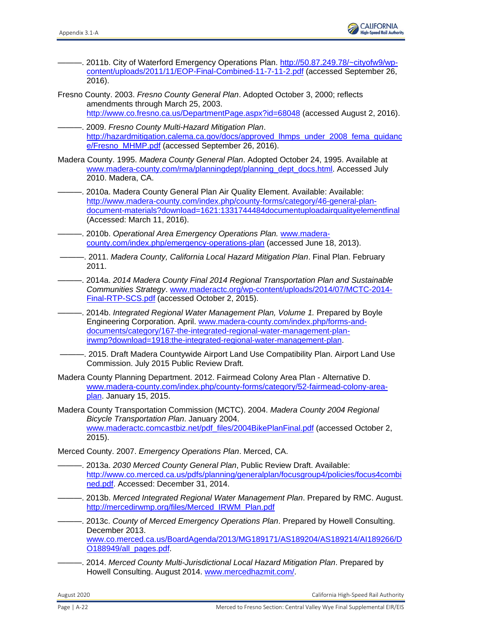

- ———. 2011b. City of Waterford Emergency Operations Plan. [http://50.87.249.78/~cityofw9/wp](http://50.87.249.78/~cityofw9/wp-content/uploads/2011/11/EOP-Final-Combined-11-7-11-2.pdf)[content/uploads/2011/11/EOP-Final-Combined-11-7-11-2.pdf](http://50.87.249.78/~cityofw9/wp-content/uploads/2011/11/EOP-Final-Combined-11-7-11-2.pdf) (accessed September 26, 2016).
- Fresno County. 2003. *Fresno County General Plan*. Adopted October 3, 2000; reflects amendments through March 25, 2003. <http://www.co.fresno.ca.us/DepartmentPage.aspx?id=68048> (accessed August 2, 2016).
- ———. 2009. *Fresno County Multi-Hazard Mitigation Plan*. [http://hazardmitigation.calema.ca.gov/docs/approved\\_lhmps\\_under\\_2008\\_fema\\_guidanc](http://hazardmitigation.calema.ca.gov/docs/approved_lhmps_under_2008_fema_guidance/Fresno_MHMP.pdf) [e/Fresno\\_MHMP.pdf](http://hazardmitigation.calema.ca.gov/docs/approved_lhmps_under_2008_fema_guidance/Fresno_MHMP.pdf) (accessed September 26, 2016).
- Madera County. 1995. *Madera County General Plan*. Adopted October 24, 1995. Available at [www.madera-county.com/rma/planningdept/planning\\_dept\\_docs.html.](http://www.madera-county.com/rma/planningdept/planning_dept_docs.html) Accessed July 2010. Madera, CA.
- ———. 2010a. Madera County General Plan Air Quality Element. Available: Available: [http://www.madera-county.com/index.php/county-forms/category/46-general-plan](http://www.madera-county.com/index.php/county-forms/category/46-general-plan-document-materials?download=1621:1331744484documentuploadairqualityelementfinal)[document-materials?download=1621:1331744484documentuploadairqualityelementfinal](http://www.madera-county.com/index.php/county-forms/category/46-general-plan-document-materials?download=1621:1331744484documentuploadairqualityelementfinal) (Accessed: March 11, 2016).
- ———. 2010b. *Operational Area Emergency Operations Plan.* [www.madera](http://www.madera-county.com/index.php/emergency-operations-plan)[county.com/index.php/emergency-operations-plan](http://www.madera-county.com/index.php/emergency-operations-plan) (accessed June 18, 2013).
- ———. 2011. *Madera County, California Local Hazard Mitigation Plan*. Final Plan. February 2011.
- ———. 2014a. *2014 Madera County Final 2014 Regional Transportation Plan and Sustainable Communities Strategy*. [www.maderactc.org/wp-content/uploads/2014/07/MCTC-2014-](http://www.maderactc.org/wp-content/uploads/2014/07/MCTC-2014-Final-RTP-SCS.pdf) [Final-RTP-SCS.pdf](http://www.maderactc.org/wp-content/uploads/2014/07/MCTC-2014-Final-RTP-SCS.pdf) (accessed October 2, 2015).
- ———. 2014b. *Integrated Regional Water Management Plan, Volume 1.* Prepared by Boyle Engineering Corporation. April. [www.madera-county.com/index.php/forms-and](http://www.madera-county.com/index.php/forms-and-documents/category/167-the-integrated-regional-water-management-plan-irwmp?download=1918:the-integrated-regional-water-management-plan)[documents/category/167-the-integrated-regional-water-management-plan](http://www.madera-county.com/index.php/forms-and-documents/category/167-the-integrated-regional-water-management-plan-irwmp?download=1918:the-integrated-regional-water-management-plan)[irwmp?download=1918:the-integrated-regional-water-management-plan.](http://www.madera-county.com/index.php/forms-and-documents/category/167-the-integrated-regional-water-management-plan-irwmp?download=1918:the-integrated-regional-water-management-plan)
- . 2015. Draft Madera Countywide Airport Land Use Compatibility Plan. Airport Land Use Commission. July 2015 Public Review Draft.
- Madera County Planning Department. 2012. Fairmead Colony Area Plan Alternative D. [www.madera-county.com/index.php/county-forms/category/52-fairmead-colony-area](http://www.madera-county.com/index.php/county-forms/category/52-fairmead-colony-area-plan)[plan.](http://www.madera-county.com/index.php/county-forms/category/52-fairmead-colony-area-plan) January 15, 2015.
- Madera County Transportation Commission (MCTC). 2004. *Madera County 2004 Regional Bicycle Transportation Plan*. January 2004. [www.maderactc.comcastbiz.net/pdf\\_files/2004BikePlanFinal.pdf](http://www.maderactc.comcastbiz.net/pdf_files/2004BikePlanFinal.pdf) (accessed October 2, 2015).

Merced County. 2007. *Emergency Operations Plan*. Merced, CA.

- ———. 2013a. *2030 Merced County General Plan*, Public Review Draft. Available: [http://www.co.merced.ca.us/pdfs/planning/generalplan/focusgroup4/policies/focus4combi](http://www.co.merced.ca.us/pdfs/planning/generalplan/focusgroup4/policies/focus4combined.pdf) [ned.pdf.](http://www.co.merced.ca.us/pdfs/planning/generalplan/focusgroup4/policies/focus4combined.pdf) Accessed: December 31, 2014.
- ———. 2013b. *Merced Integrated Regional Water Management Plan*. Prepared by RMC. August. [http://mercedirwmp.org/files/Merced\\_IRWM\\_Plan.pdf](http://mercedirwmp.org/files/Merced_IRWM_Plan.pdf)
- ———. 2013c. *County of Merced Emergency Operations Plan*. Prepared by Howell Consulting. December 2013. [www.co.merced.ca.us/BoardAgenda/2013/MG189171/AS189204/AS189214/AI189266/D](http://www.co.merced.ca.us/BoardAgenda/2013/MG189171/AS189204/AS189214/AI189266/DO188949/all_pages.pdf) [O188949/all\\_pages.pdf.](http://www.co.merced.ca.us/BoardAgenda/2013/MG189171/AS189204/AS189214/AI189266/DO188949/all_pages.pdf)
- ———. 2014. *Merced County Multi-Jurisdictional Local Hazard Mitigation Plan*. Prepared by Howell Consulting. August 2014. [www.mercedhazmit.com/.](http://www.mercedhazmit.com/)

August 2020 California High-Speed Rail Authority